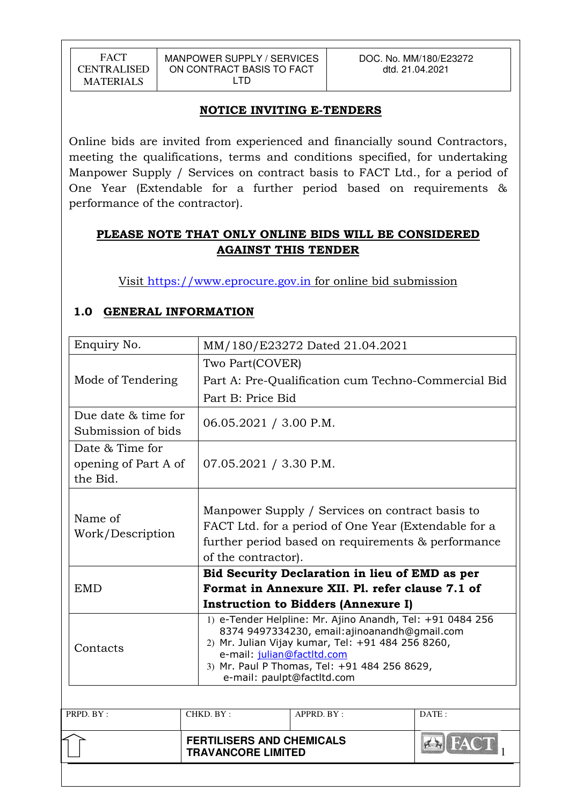# NOTICE INVITING E-TENDERS

Online bids are invited from experienced and financially sound Contractors, meeting the qualifications, terms and conditions specified, for undertaking Manpower Supply / Services on contract basis to FACT Ltd., for a period of One Year (Extendable for a further period based on requirements & performance of the contractor).

# PLEASE NOTE THAT ONLY ONLINE BIDS WILL BE CONSIDERED AGAINST THIS TENDER

Visit https://www.eprocure.gov.in for online bid submission

### 1.0 GENERAL INFORMATION

| Enquiry No.                                         |                                                                                                                                                                                                                                                                            | MM/180/E23272 Dated 21.04.2021                                                                                                                                                       |       |  |
|-----------------------------------------------------|----------------------------------------------------------------------------------------------------------------------------------------------------------------------------------------------------------------------------------------------------------------------------|--------------------------------------------------------------------------------------------------------------------------------------------------------------------------------------|-------|--|
|                                                     | Two Part(COVER)                                                                                                                                                                                                                                                            |                                                                                                                                                                                      |       |  |
| Mode of Tendering                                   |                                                                                                                                                                                                                                                                            | Part A: Pre-Qualification cum Techno-Commercial Bid                                                                                                                                  |       |  |
|                                                     | Part B: Price Bid                                                                                                                                                                                                                                                          |                                                                                                                                                                                      |       |  |
| Due date & time for<br>Submission of bids           | 06.05.2021 / 3.00 P.M.                                                                                                                                                                                                                                                     |                                                                                                                                                                                      |       |  |
| Date & Time for<br>opening of Part A of<br>the Bid. | 07.05.2021 / 3.30 P.M.                                                                                                                                                                                                                                                     |                                                                                                                                                                                      |       |  |
| Name of<br>Work/Description                         |                                                                                                                                                                                                                                                                            | Manpower Supply / Services on contract basis to<br>FACT Ltd. for a period of One Year (Extendable for a<br>further period based on requirements & performance<br>of the contractor). |       |  |
|                                                     |                                                                                                                                                                                                                                                                            | Bid Security Declaration in lieu of EMD as per                                                                                                                                       |       |  |
| <b>EMD</b>                                          |                                                                                                                                                                                                                                                                            | Format in Annexure XII. Pl. refer clause 7.1 of                                                                                                                                      |       |  |
|                                                     | <b>Instruction to Bidders (Annexure I)</b>                                                                                                                                                                                                                                 |                                                                                                                                                                                      |       |  |
| Contacts                                            | 1) e-Tender Helpline: Mr. Ajino Anandh, Tel: +91 0484 256<br>8374 9497334230, email:ajinoanandh@gmail.com<br>2) Mr. Julian Vijay kumar, Tel: +91 484 256 8260,<br>e-mail: julian@factltd.com<br>3) Mr. Paul P Thomas, Tel: +91 484 256 8629,<br>e-mail: paulpt@factltd.com |                                                                                                                                                                                      |       |  |
|                                                     |                                                                                                                                                                                                                                                                            |                                                                                                                                                                                      |       |  |
| PRPD. BY:                                           | CHKD. BY:                                                                                                                                                                                                                                                                  | APPRD. BY:                                                                                                                                                                           | DATE: |  |
|                                                     | <b>FERTILISERS AND CHEMICALS</b><br><b>TRAVANCORE LIMITED</b>                                                                                                                                                                                                              |                                                                                                                                                                                      |       |  |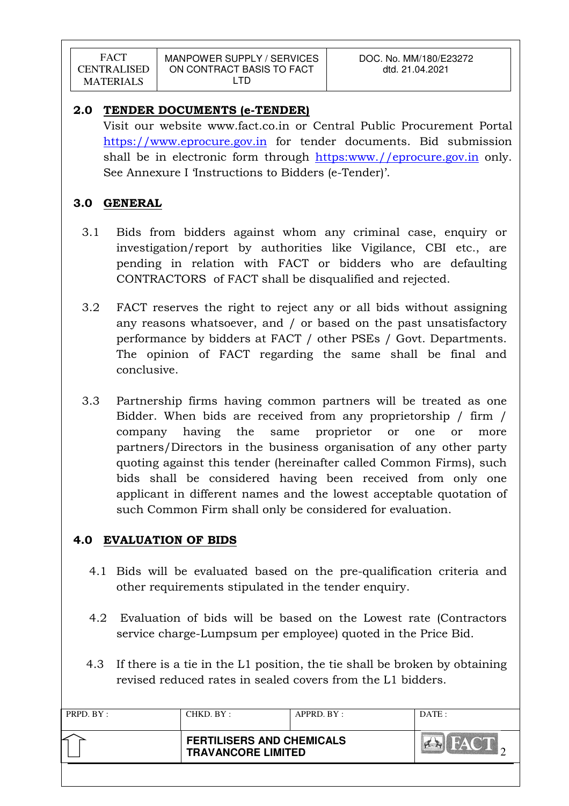### 2.0 TENDER DOCUMENTS (e-TENDER)

Visit our website www.fact.co.in or Central Public Procurement Portal https://www.eprocure.gov.in for tender documents. Bid submission shall be in electronic form through https:www.//eprocure.gov.in only. See Annexure I 'Instructions to Bidders (e-Tender)'.

# 3.0 GENERAL

- 3.1 Bids from bidders against whom any criminal case, enquiry or investigation/report by authorities like Vigilance, CBI etc., are pending in relation with FACT or bidders who are defaulting CONTRACTORS of FACT shall be disqualified and rejected.
- 3.2 FACT reserves the right to reject any or all bids without assigning any reasons whatsoever, and / or based on the past unsatisfactory performance by bidders at FACT / other PSEs / Govt. Departments. The opinion of FACT regarding the same shall be final and conclusive.
- 3.3 Partnership firms having common partners will be treated as one Bidder. When bids are received from any proprietorship / firm / company having the same proprietor or one or more partners/Directors in the business organisation of any other party quoting against this tender (hereinafter called Common Firms), such bids shall be considered having been received from only one applicant in different names and the lowest acceptable quotation of such Common Firm shall only be considered for evaluation.

### 4.0 EVALUATION OF BIDS

- 4.1 Bids will be evaluated based on the pre-qualification criteria and other requirements stipulated in the tender enquiry.
- 4.2 Evaluation of bids will be based on the Lowest rate (Contractors service charge-Lumpsum per employee) quoted in the Price Bid.
- 4.3 If there is a tie in the L1 position, the tie shall be broken by obtaining revised reduced rates in sealed covers from the L1 bidders.

| PRPD. BY: | CHKD. BY:                                                     | APPRD. BY: | DATA |
|-----------|---------------------------------------------------------------|------------|------|
|           | <b>FERTILISERS AND CHEMICALS</b><br><b>TRAVANCORE LIMITED</b> |            |      |
|           |                                                               |            |      |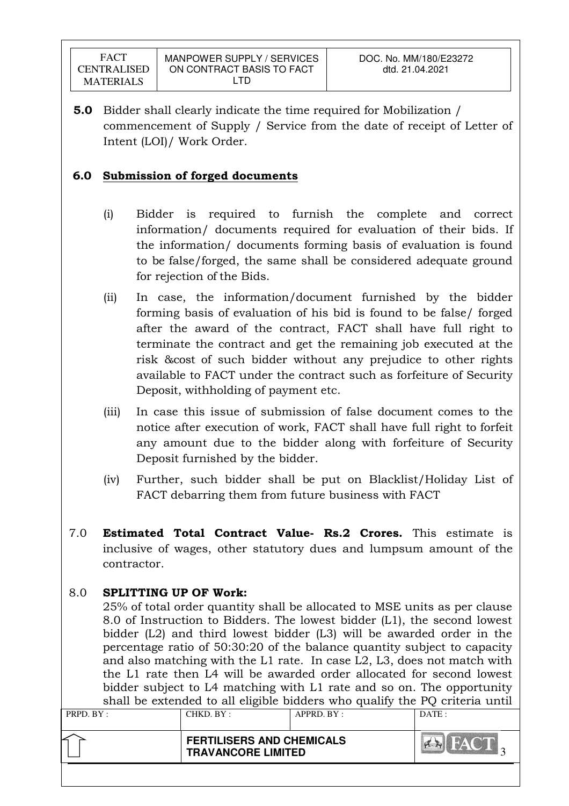5.0 Bidder shall clearly indicate the time required for Mobilization / commencement of Supply / Service from the date of receipt of Letter of Intent (LOI)/ Work Order.

# 6.0 Submission of forged documents

- (i) Bidder is required to furnish the complete and correct information/ documents required for evaluation of their bids. If the information/ documents forming basis of evaluation is found to be false/forged, the same shall be considered adequate ground for rejection of the Bids.
- (ii) In case, the information/document furnished by the bidder forming basis of evaluation of his bid is found to be false/ forged after the award of the contract, FACT shall have full right to terminate the contract and get the remaining job executed at the risk &cost of such bidder without any prejudice to other rights available to FACT under the contract such as forfeiture of Security Deposit, withholding of payment etc.
- (iii) In case this issue of submission of false document comes to the notice after execution of work, FACT shall have full right to forfeit any amount due to the bidder along with forfeiture of Security Deposit furnished by the bidder.
- (iv) Further, such bidder shall be put on Blacklist/Holiday List of FACT debarring them from future business with FACT
- 7.0 Estimated Total Contract Value- Rs.2 Crores. This estimate is inclusive of wages, other statutory dues and lumpsum amount of the contractor.

### 8.0 SPLITTING UP OF Work:

25% of total order quantity shall be allocated to MSE units as per clause 8.0 of Instruction to Bidders. The lowest bidder (L1), the second lowest bidder (L2) and third lowest bidder (L3) will be awarded order in the percentage ratio of 50:30:20 of the balance quantity subject to capacity and also matching with the L1 rate. In case L2, L3, does not match with the L1 rate then L4 will be awarded order allocated for second lowest bidder subject to L4 matching with L1 rate and so on. The opportunity shall be extended to all eligible bidders who qualify the PQ criteria until

| PRPD. BY: | CHKD. BY :<br><b>FERTILISERS AND CHEMICALS</b> | $APPRD$ . $BY$ : | $\overline{\text{DATE}}$ : |
|-----------|------------------------------------------------|------------------|----------------------------|
|           | <b>TRAVANCORE LIMITED</b>                      |                  |                            |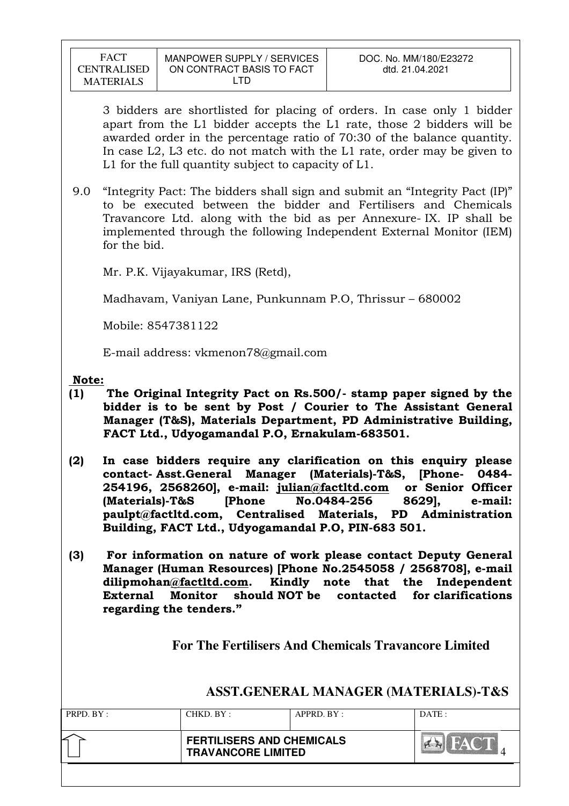3 bidders are shortlisted for placing of orders. In case only 1 bidder apart from the L1 bidder accepts the L1 rate, those 2 bidders will be awarded order in the percentage ratio of 70:30 of the balance quantity. In case L2, L3 etc. do not match with the L1 rate, order may be given to L1 for the full quantity subject to capacity of L1.

 9.0 "Integrity Pact: The bidders shall sign and submit an "Integrity Pact (IP)" to be executed between the bidder and Fertilisers and Chemicals Travancore Ltd. along with the bid as per Annexure- IX. IP shall be implemented through the following Independent External Monitor (IEM) for the bid.

Mr. P.K. Vijayakumar, IRS (Retd),

Madhavam, Vaniyan Lane, Punkunnam P.O, Thrissur – 680002

Mobile: 8547381122

E-mail address: vkmenon78@gmail.com

#### Note:

- (1) The Original Integrity Pact on Rs.500/- stamp paper signed by the bidder is to be sent by Post / Courier to The Assistant General Manager (T&S), Materials Department, PD Administrative Building, FACT Ltd., Udyogamandal P.O, Ernakulam-683501.
- (2) In case bidders require any clarification on this enquiry please contact- Asst.General Manager (Materials)-T&S, [Phone- 0484- 254196, 2568260], e-mail: julian@factltd.com or Senior Officer (Materials)-T&S [Phone No.0484-256 8629], e-mail: paulpt@factltd.com, Centralised Materials, PD Administration Building, FACT Ltd., Udyogamandal P.O, PIN-683 501.
- (3) For information on nature of work please contact Deputy General Manager (Human Resources) [Phone No.2545058 / 2568708], e-mail dilipmohan@factltd.com. Kindly note that the Independent<br>External Monitor should NOT be contacted for-clarifications External Monitor should NOT be contacted regarding the tenders."

**For The Fertilisers And Chemicals Travancore Limited** 

| PRPD. BY: | CHKD. BY:                                                     | APPRD. BY: | DATA:                 |
|-----------|---------------------------------------------------------------|------------|-----------------------|
|           | <b>FERTILISERS AND CHEMICALS</b><br><b>TRAVANCORE LIMITED</b> |            | <b>DA</b><br>$\alpha$ |
|           |                                                               |            |                       |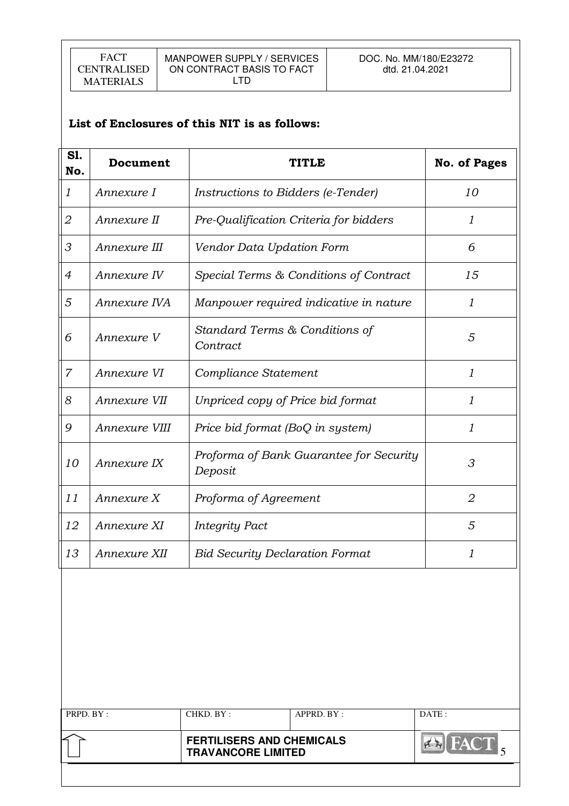# List of Enclosures of this NIT is as follows:

| S1.<br>No.     | Document      | TITLE                                              | <b>No. of Pages</b> |
|----------------|---------------|----------------------------------------------------|---------------------|
| 1              | Annexure I    | Instructions to Bidders (e-Tender)                 | 10                  |
| 2              | Annexure II   | Pre-Qualification Criteria for bidders             | 1                   |
| 3              | Annexure III  | Vendor Data Updation Form                          | 6                   |
| $\overline{4}$ | Annexure IV   | Special Terms & Conditions of Contract             | 15                  |
| 5              | Annexure IVA  | Manpower required indicative in nature             | 1                   |
| 6              | Annexure V    | Standard Terms & Conditions of<br>Contract         | 5                   |
| $\overline{7}$ | Annexure VI   | Compliance Statement                               | $\mathcal{I}$       |
| 8              | Annexure VII  | Unpriced copy of Price bid format                  | 1                   |
| 9              | Annexure VIII | Price bid format (BoQ in system)                   | 1                   |
| 10             | Annexure IX   | Proforma of Bank Guarantee for Security<br>Deposit | 3                   |
| 11             | Annexure X    | Proforma of Agreement                              | $\overline{2}$      |
| 12             | Annexure XI   | <b>Integrity Pact</b>                              | 5                   |
| 13             | Annexure XII  | <b>Bid Security Declaration Format</b>             | 1                   |
|                |               |                                                    |                     |

|           | <b>FERTILISERS AND CHEMICALS</b><br><b>TRAVANCORE LIMITED</b> |                 |       |
|-----------|---------------------------------------------------------------|-----------------|-------|
| PRPD. BY: | CHKD. BY:                                                     | $APPRD$ . $BY:$ | DATE: |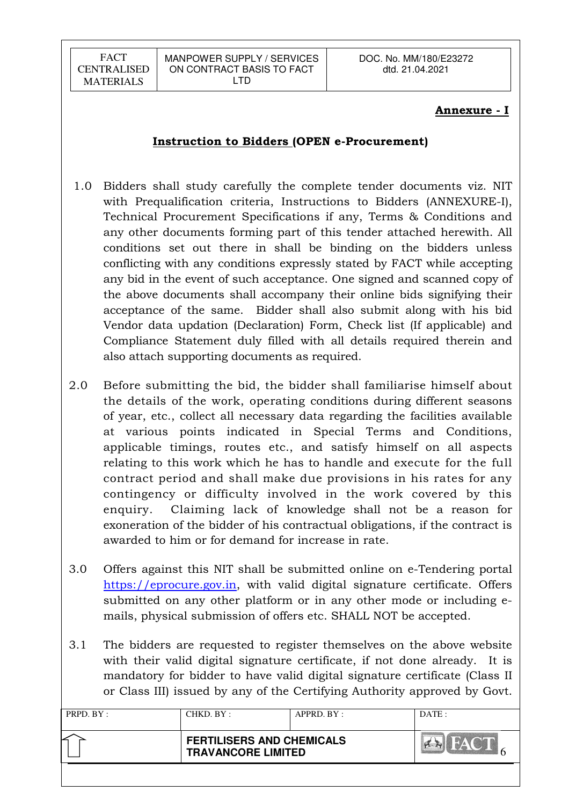FACT CENTRALISED **MATERIALS** 

#### Annexure - I

#### Instruction to Bidders (OPEN e-Procurement)

- 1.0 Bidders shall study carefully the complete tender documents viz. NIT with Prequalification criteria, Instructions to Bidders (ANNEXURE-I), Technical Procurement Specifications if any, Terms & Conditions and any other documents forming part of this tender attached herewith. All conditions set out there in shall be binding on the bidders unless conflicting with any conditions expressly stated by FACT while accepting any bid in the event of such acceptance. One signed and scanned copy of the above documents shall accompany their online bids signifying their acceptance of the same. Bidder shall also submit along with his bid Vendor data updation (Declaration) Form, Check list (If applicable) and Compliance Statement duly filled with all details required therein and also attach supporting documents as required.
- 2.0 Before submitting the bid, the bidder shall familiarise himself about the details of the work, operating conditions during different seasons of year, etc., collect all necessary data regarding the facilities available at various points indicated in Special Terms and Conditions, applicable timings, routes etc., and satisfy himself on all aspects relating to this work which he has to handle and execute for the full contract period and shall make due provisions in his rates for any contingency or difficulty involved in the work covered by this enquiry. Claiming lack of knowledge shall not be a reason for exoneration of the bidder of his contractual obligations, if the contract is awarded to him or for demand for increase in rate.
- 3.0 Offers against this NIT shall be submitted online on e-Tendering portal https://eprocure.gov.in, with valid digital signature certificate. Offers submitted on any other platform or in any other mode or including emails, physical submission of offers etc. SHALL NOT be accepted.
- 3.1 The bidders are requested to register themselves on the above website with their valid digital signature certificate, if not done already. It is mandatory for bidder to have valid digital signature certificate (Class II or Class III) issued by any of the Certifying Authority approved by Govt.

| PRPD. BY: | CHKD. BY :                                                    | APPRD. BY: | DATA: |
|-----------|---------------------------------------------------------------|------------|-------|
|           | <b>FERTILISERS AND CHEMICALS</b><br><b>TRAVANCORE LIMITED</b> |            |       |
|           |                                                               |            |       |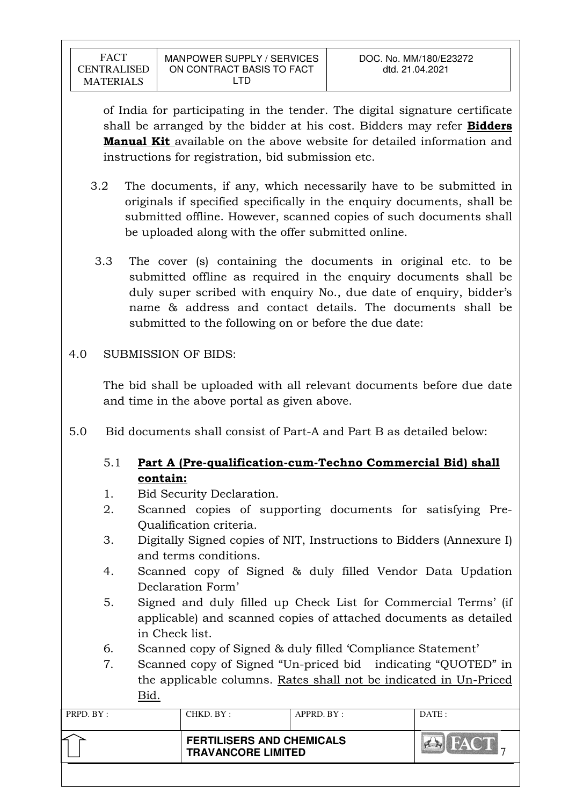of India for participating in the tender. The digital signature certificate shall be arranged by the bidder at his cost. Bidders may refer **Bidders** Manual Kit available on the above website for detailed information and instructions for registration, bid submission etc.

- 3.2 The documents, if any, which necessarily have to be submitted in originals if specified specifically in the enquiry documents, shall be submitted offline. However, scanned copies of such documents shall be uploaded along with the offer submitted online.
- 3.3 The cover (s) containing the documents in original etc. to be submitted offline as required in the enquiry documents shall be duly super scribed with enquiry No., due date of enquiry, bidder's name & address and contact details. The documents shall be submitted to the following on or before the due date:
- 4.0 SUBMISSION OF BIDS:

The bid shall be uploaded with all relevant documents before due date and time in the above portal as given above.

5.0 Bid documents shall consist of Part-A and Part B as detailed below:

# 5.1 Part A (Pre-qualification-cum-Techno Commercial Bid) shall contain:

- 1. Bid Security Declaration.
- 2. Scanned copies of supporting documents for satisfying Pre-Qualification criteria.
- 3. Digitally Signed copies of NIT, Instructions to Bidders (Annexure I) and terms conditions.
- 4. Scanned copy of Signed & duly filled Vendor Data Updation Declaration Form'
- 5. Signed and duly filled up Check List for Commercial Terms' (if applicable) and scanned copies of attached documents as detailed in Check list.
- 6. Scanned copy of Signed & duly filled 'Compliance Statement'
- 7. Scanned copy of Signed "Un-priced bid indicating "QUOTED" in the applicable columns. Rates shall not be indicated in Un-Priced Bid.

| PRPD. BY: | CHKD. BY:                                                     | APPRD. BY: | DATE: |
|-----------|---------------------------------------------------------------|------------|-------|
|           | <b>FERTILISERS AND CHEMICALS</b><br><b>TRAVANCORE LIMITED</b> |            |       |
|           |                                                               |            |       |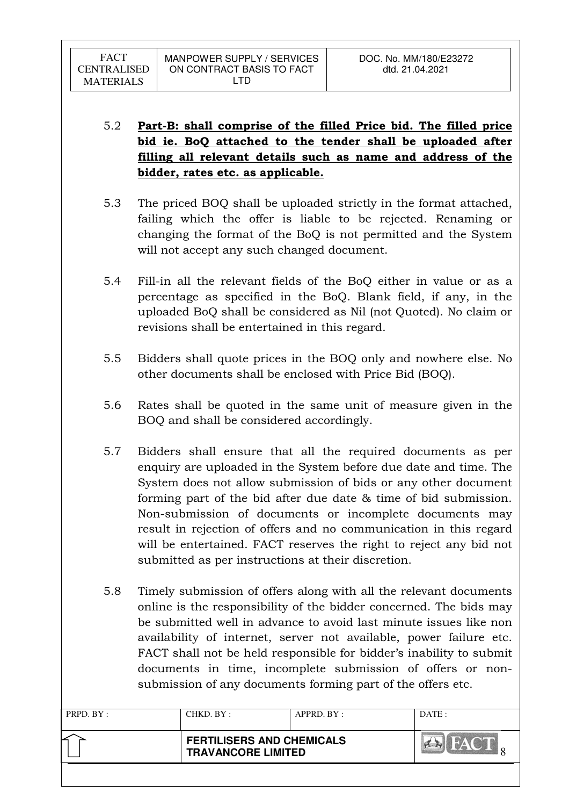# 5.2 Part-B: shall comprise of the filled Price bid. The filled price bid ie. BoQ attached to the tender shall be uploaded after filling all relevant details such as name and address of the bidder, rates etc. as applicable.

- 5.3 The priced BOQ shall be uploaded strictly in the format attached, failing which the offer is liable to be rejected. Renaming or changing the format of the BoQ is not permitted and the System will not accept any such changed document.
- 5.4 Fill-in all the relevant fields of the BoQ either in value or as a percentage as specified in the BoQ. Blank field, if any, in the uploaded BoQ shall be considered as Nil (not Quoted). No claim or revisions shall be entertained in this regard.
- 5.5 Bidders shall quote prices in the BOQ only and nowhere else. No other documents shall be enclosed with Price Bid (BOQ).
- 5.6 Rates shall be quoted in the same unit of measure given in the BOQ and shall be considered accordingly.
- 5.7 Bidders shall ensure that all the required documents as per enquiry are uploaded in the System before due date and time. The System does not allow submission of bids or any other document forming part of the bid after due date & time of bid submission. Non-submission of documents or incomplete documents may result in rejection of offers and no communication in this regard will be entertained. FACT reserves the right to reject any bid not submitted as per instructions at their discretion.
- 5.8 Timely submission of offers along with all the relevant documents online is the responsibility of the bidder concerned. The bids may be submitted well in advance to avoid last minute issues like non availability of internet, server not available, power failure etc. FACT shall not be held responsible for bidder's inability to submit documents in time, incomplete submission of offers or nonsubmission of any documents forming part of the offers etc.

| PRPD. BY: | CHKD. BY :                                                    | APPRD. BY: | DATA: |
|-----------|---------------------------------------------------------------|------------|-------|
|           | <b>FERTILISERS AND CHEMICALS</b><br><b>TRAVANCORE LIMITED</b> |            |       |
|           |                                                               |            |       |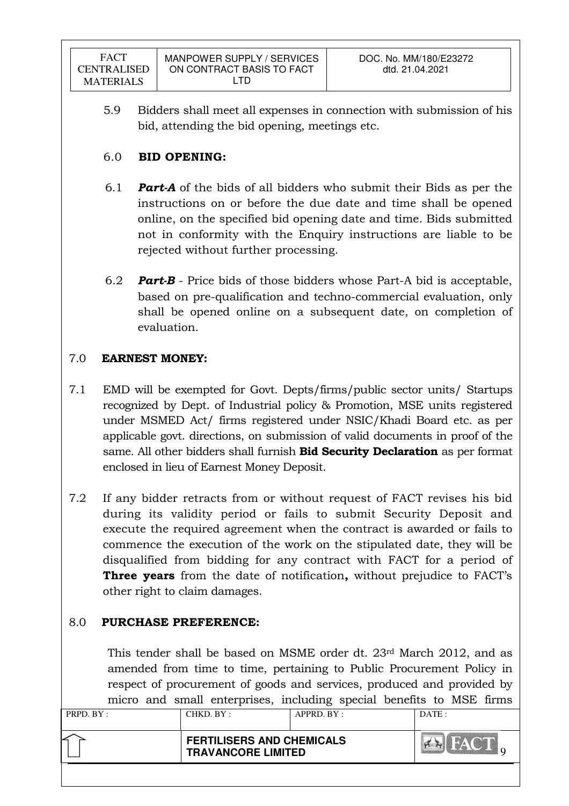5.9 Bidders shall meet all expenses in connection with submission of his bid, attending the bid opening, meetings etc.

# 6.0 BID OPENING:

- 6.1 **Part-A** of the bids of all bidders who submit their Bids as per the instructions on or before the due date and time shall be opened online, on the specified bid opening date and time. Bids submitted not in conformity with the Enquiry instructions are liable to be rejected without further processing.
- 6.2 **Part-B** Price bids of those bidders whose Part-A bid is acceptable, based on pre-qualification and techno-commercial evaluation, only shall be opened online on a subsequent date, on completion of evaluation.

### 7.0 EARNEST MONEY:

- 7.1 EMD will be exempted for Govt. Depts/firms/public sector units/ Startups recognized by Dept. of Industrial policy & Promotion, MSE units registered under MSMED Act/ firms registered under NSIC/Khadi Board etc. as per applicable govt. directions, on submission of valid documents in proof of the same. All other bidders shall furnish **Bid Security Declaration** as per format enclosed in lieu of Earnest Money Deposit.
- 7.2 If any bidder retracts from or without request of FACT revises his bid during its validity period or fails to submit Security Deposit and execute the required agreement when the contract is awarded or fails to commence the execution of the work on the stipulated date, they will be disqualified from bidding for any contract with FACT for a period of Three years from the date of notification, without prejudice to FACT's other right to claim damages.

### 8.0 PURCHASE PREFERENCE:

This tender shall be based on MSME order dt. 23rd March 2012, and as amended from time to time, pertaining to Public Procurement Policy in respect of procurement of goods and services, produced and provided by micro and small enterprises, including special benefits to MSE firms

| PRPD. BY: | CHKD. BY :                                                    | APPRD. BY: | DATA: |
|-----------|---------------------------------------------------------------|------------|-------|
|           |                                                               |            |       |
|           |                                                               |            |       |
|           | <b>FERTILISERS AND CHEMICALS</b><br><b>TRAVANCORE LIMITED</b> |            |       |
|           |                                                               |            |       |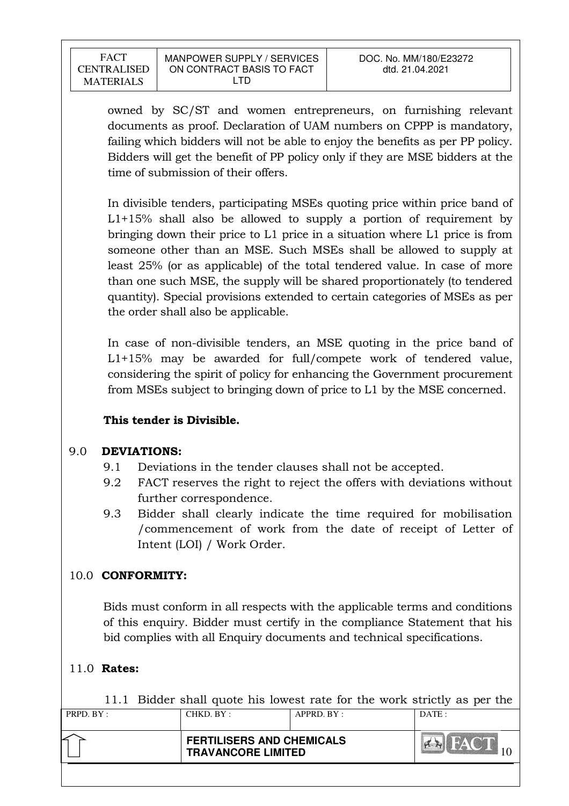owned by SC/ST and women entrepreneurs, on furnishing relevant documents as proof. Declaration of UAM numbers on CPPP is mandatory, failing which bidders will not be able to enjoy the benefits as per PP policy. Bidders will get the benefit of PP policy only if they are MSE bidders at the time of submission of their offers.

In divisible tenders, participating MSEs quoting price within price band of L1+15% shall also be allowed to supply a portion of requirement by bringing down their price to L1 price in a situation where L1 price is from someone other than an MSE. Such MSEs shall be allowed to supply at least 25% (or as applicable) of the total tendered value. In case of more than one such MSE, the supply will be shared proportionately (to tendered quantity). Special provisions extended to certain categories of MSEs as per the order shall also be applicable.

In case of non-divisible tenders, an MSE quoting in the price band of L1+15% may be awarded for full/compete work of tendered value, considering the spirit of policy for enhancing the Government procurement from MSEs subject to bringing down of price to L1 by the MSE concerned.

# This tender is Divisible.

### 9.0 DEVIATIONS:

- 9.1 Deviations in the tender clauses shall not be accepted.
- 9.2 FACT reserves the right to reject the offers with deviations without further correspondence.
- 9.3 Bidder shall clearly indicate the time required for mobilisation /commencement of work from the date of receipt of Letter of Intent (LOI) / Work Order.

# 10.0 CONFORMITY:

Bids must conform in all respects with the applicable terms and conditions of this enquiry. Bidder must certify in the compliance Statement that his bid complies with all Enquiry documents and technical specifications.

# 11.0 Rates:

11.1 Bidder shall quote his lowest rate for the work strictly as per the

| <b>FERTILISERS AND CHEMICALS</b> | PRPD. BY: | CHKD. BY: | APPRD. BY: | DATE: |
|----------------------------------|-----------|-----------|------------|-------|
| <b>TRAVANCORE LIMITED</b>        |           |           |            |       |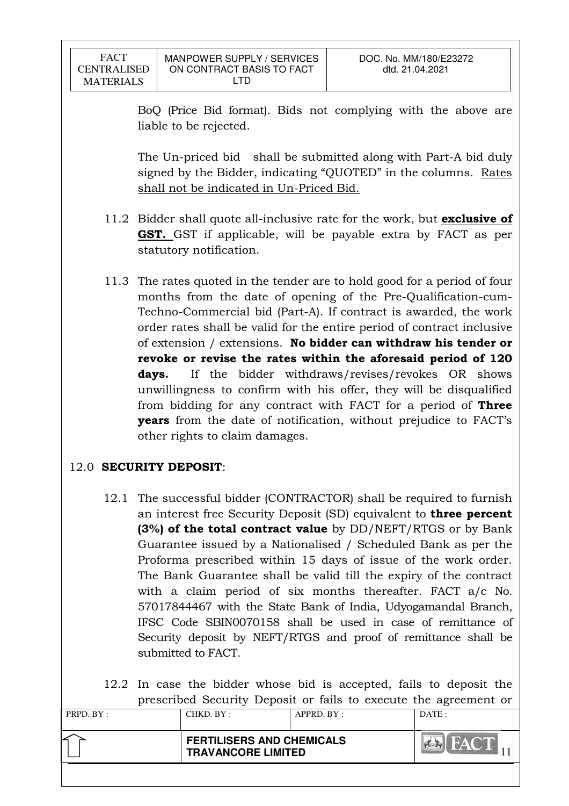BoQ (Price Bid format). Bids not complying with the above are liable to be rejected.

The Un-priced bid shall be submitted along with Part-A bid duly signed by the Bidder, indicating "QUOTED" in the columns. Rates shall not be indicated in Un-Priced Bid.

- 11.2 Bidder shall quote all-inclusive rate for the work, but **exclusive of** GST. GST if applicable, will be payable extra by FACT as per statutory notification.
- 11.3 The rates quoted in the tender are to hold good for a period of four months from the date of opening of the Pre-Qualification-cum-Techno-Commercial bid (Part-A). If contract is awarded, the work order rates shall be valid for the entire period of contract inclusive of extension / extensions. No bidder can withdraw his tender or revoke or revise the rates within the aforesaid period of 120 days. If the bidder withdraws/revises/revokes OR shows unwillingness to confirm with his offer, they will be disqualified from bidding for any contract with FACT for a period of Three years from the date of notification, without prejudice to FACT's other rights to claim damages.

# 12.0 SECURITY DEPOSIT:

- 12.1 The successful bidder (CONTRACTOR) shall be required to furnish an interest free Security Deposit (SD) equivalent to three percent (3%) of the total contract value by DD/NEFT/RTGS or by Bank Guarantee issued by a Nationalised / Scheduled Bank as per the Proforma prescribed within 15 days of issue of the work order. The Bank Guarantee shall be valid till the expiry of the contract with a claim period of six months thereafter. FACT a/c No. 57017844467 with the State Bank of India, Udyogamandal Branch, IFSC Code SBIN0070158 shall be used in case of remittance of Security deposit by NEFT/RTGS and proof of remittance shall be submitted to FACT.
- 12.2 In case the bidder whose bid is accepted, fails to deposit the prescribed Security Deposit or fails to execute the agreement or

| PRPD. BY: | CHKD. BY:                                                     | APPRD. BY: | DATA: |
|-----------|---------------------------------------------------------------|------------|-------|
|           |                                                               |            |       |
|           | <b>FERTILISERS AND CHEMICALS</b><br><b>TRAVANCORE LIMITED</b> |            |       |
|           |                                                               |            |       |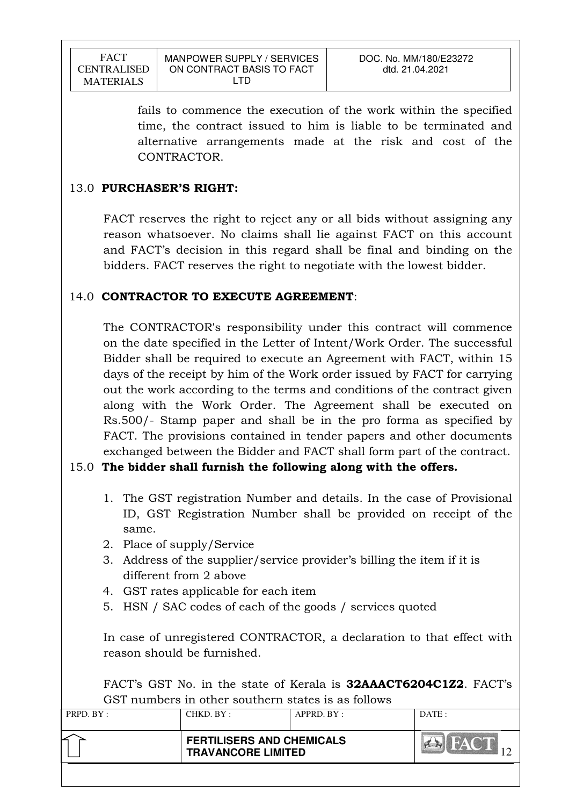fails to commence the execution of the work within the specified time, the contract issued to him is liable to be terminated and alternative arrangements made at the risk and cost of the CONTRACTOR.

### 13.0 PURCHASER'S RIGHT:

 FACT reserves the right to reject any or all bids without assigning any reason whatsoever. No claims shall lie against FACT on this account and FACT's decision in this regard shall be final and binding on the bidders. FACT reserves the right to negotiate with the lowest bidder.

### 14.0 CONTRACTOR TO EXECUTE AGREEMENT:

 The CONTRACTOR's responsibility under this contract will commence on the date specified in the Letter of Intent/Work Order. The successful Bidder shall be required to execute an Agreement with FACT, within 15 days of the receipt by him of the Work order issued by FACT for carrying out the work according to the terms and conditions of the contract given along with the Work Order. The Agreement shall be executed on Rs.500/- Stamp paper and shall be in the pro forma as specified by FACT. The provisions contained in tender papers and other documents exchanged between the Bidder and FACT shall form part of the contract.

# 15.0 The bidder shall furnish the following along with the offers.

- 1. The GST registration Number and details. In the case of Provisional ID, GST Registration Number shall be provided on receipt of the same.
- 2. Place of supply/Service
- 3. Address of the supplier/service provider's billing the item if it is different from 2 above
- 4. GST rates applicable for each item
- 5. HSN / SAC codes of each of the goods / services quoted

In case of unregistered CONTRACTOR, a declaration to that effect with reason should be furnished.

FACT's GST No. in the state of Kerala is **32AAACT6204C1Z2**. FACT's GST numbers in other southern states is as follows

| PRPD. BY: | CHKD. BY:                                                     | APPRD. BY: | DATA: |  |  |
|-----------|---------------------------------------------------------------|------------|-------|--|--|
|           |                                                               |            |       |  |  |
|           |                                                               |            |       |  |  |
|           | <b>FERTILISERS AND CHEMICALS</b><br><b>TRAVANCORE LIMITED</b> |            |       |  |  |
|           |                                                               |            |       |  |  |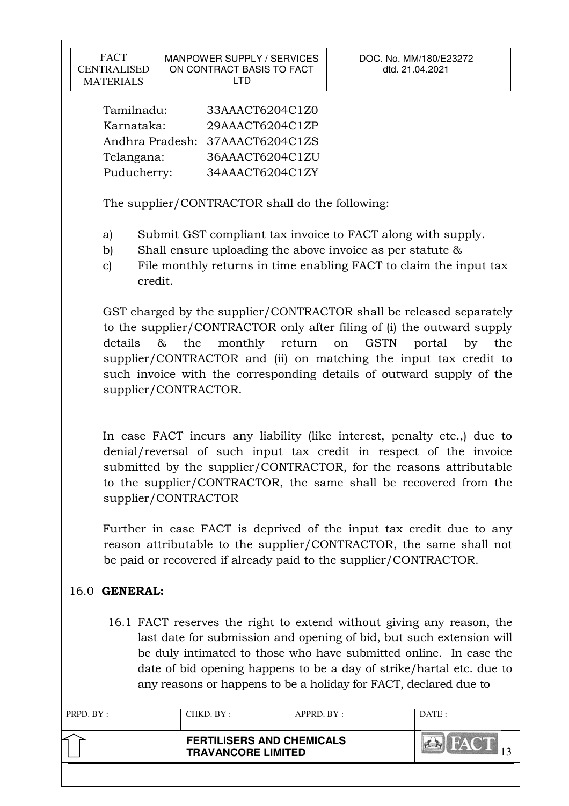| <b>FACT</b><br><b>CENTRALISED</b><br><b>MATERIALS</b> |  | MANPOWER SUPPLY / SERVICES<br>ON CONTRACT BASIS TO FACT<br>LTD | DOC. No. MM/180/E23272<br>dtd. 21.04.2021 |
|-------------------------------------------------------|--|----------------------------------------------------------------|-------------------------------------------|
|                                                       |  |                                                                |                                           |
| Tamilnadu:                                            |  | 33AAACT6204C1Z0                                                |                                           |
| Karnataka:                                            |  | 29AAACT6204C1ZP                                                |                                           |
|                                                       |  | Andhra Pradesh: 37AAACT6204C1ZS                                |                                           |
| Telangana:                                            |  | 36AAACT6204C1ZU                                                |                                           |
| Puducherry:                                           |  | 34AAACT6204C1ZY                                                |                                           |

The supplier/CONTRACTOR shall do the following:

- a) Submit GST compliant tax invoice to FACT along with supply.
- b) Shall ensure uploading the above invoice as per statute &
- c) File monthly returns in time enabling FACT to claim the input tax credit.

GST charged by the supplier/CONTRACTOR shall be released separately to the supplier/CONTRACTOR only after filing of (i) the outward supply details & the monthly return on GSTN portal by the supplier/CONTRACTOR and (ii) on matching the input tax credit to such invoice with the corresponding details of outward supply of the supplier/CONTRACTOR.

In case FACT incurs any liability (like interest, penalty etc.,) due to denial/reversal of such input tax credit in respect of the invoice submitted by the supplier/CONTRACTOR, for the reasons attributable to the supplier/CONTRACTOR, the same shall be recovered from the supplier/CONTRACTOR

Further in case FACT is deprived of the input tax credit due to any reason attributable to the supplier/CONTRACTOR, the same shall not be paid or recovered if already paid to the supplier/CONTRACTOR.

# 16.0 GENERAL:

16.1 FACT reserves the right to extend without giving any reason, the last date for submission and opening of bid, but such extension will be duly intimated to those who have submitted online. In case the date of bid opening happens to be a day of strike/hartal etc. due to any reasons or happens to be a holiday for FACT, declared due to

| PRPD. BY: | CHKD. BY:                                                     | $APPRD$ . $BY$ : | DATA: |
|-----------|---------------------------------------------------------------|------------------|-------|
|           | <b>FERTILISERS AND CHEMICALS</b><br><b>TRAVANCORE LIMITED</b> |                  |       |
|           |                                                               |                  |       |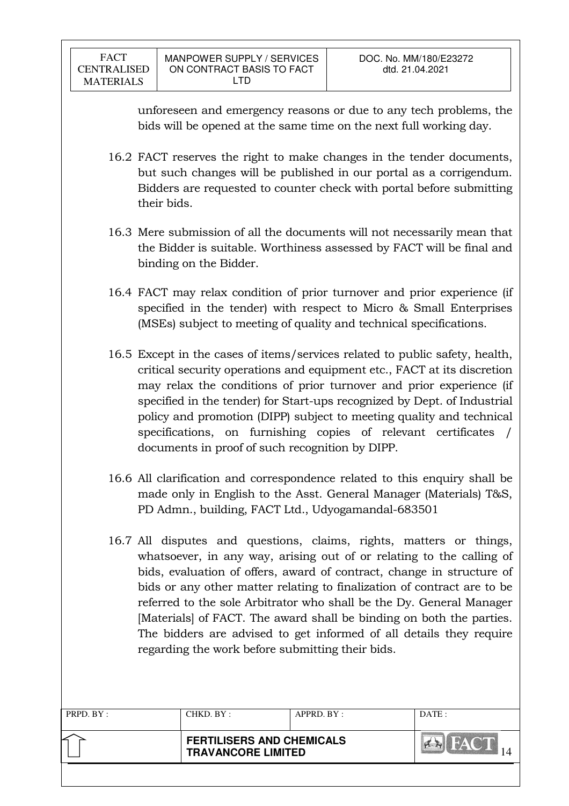unforeseen and emergency reasons or due to any tech problems, the bids will be opened at the same time on the next full working day.

- 16.2 FACT reserves the right to make changes in the tender documents, but such changes will be published in our portal as a corrigendum. Bidders are requested to counter check with portal before submitting their bids.
- 16.3 Mere submission of all the documents will not necessarily mean that the Bidder is suitable. Worthiness assessed by FACT will be final and binding on the Bidder.
- 16.4 FACT may relax condition of prior turnover and prior experience (if specified in the tender) with respect to Micro & Small Enterprises (MSEs) subject to meeting of quality and technical specifications.
- 16.5 Except in the cases of items/services related to public safety, health, critical security operations and equipment etc., FACT at its discretion may relax the conditions of prior turnover and prior experience (if specified in the tender) for Start-ups recognized by Dept. of Industrial policy and promotion (DIPP) subject to meeting quality and technical specifications, on furnishing copies of relevant certificates / documents in proof of such recognition by DIPP.
- 16.6 All clarification and correspondence related to this enquiry shall be made only in English to the Asst. General Manager (Materials) T&S, PD Admn., building, FACT Ltd., Udyogamandal-683501
- 16.7 All disputes and questions, claims, rights, matters or things, whatsoever, in any way, arising out of or relating to the calling of bids, evaluation of offers, award of contract, change in structure of bids or any other matter relating to finalization of contract are to be referred to the sole Arbitrator who shall be the Dy. General Manager [Materials] of FACT. The award shall be binding on both the parties. The bidders are advised to get informed of all details they require regarding the work before submitting their bids.

| PRPD. BY: | CHKD. BY :                                                    | APPRD. BY : | DATA: |
|-----------|---------------------------------------------------------------|-------------|-------|
|           | <b>FERTILISERS AND CHEMICALS</b><br><b>TRAVANCORE LIMITED</b> |             |       |
|           |                                                               |             |       |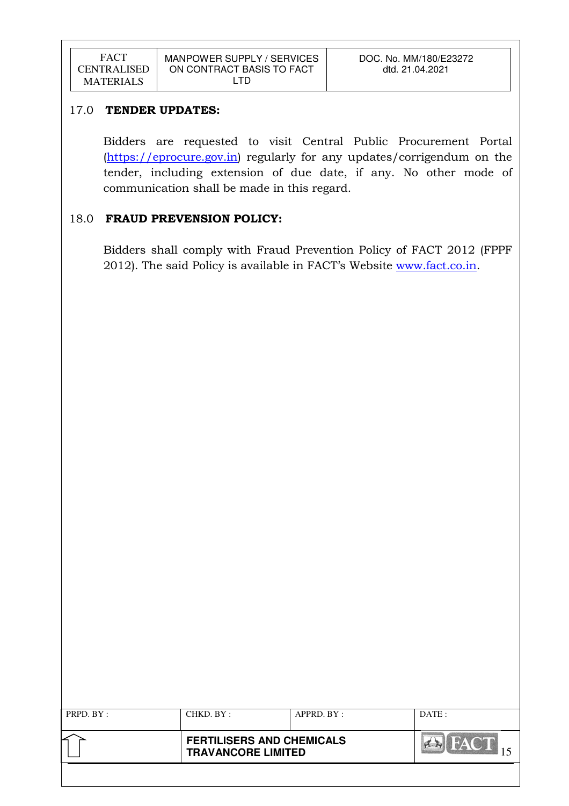#### 17.0 TENDER UPDATES:

Bidders are requested to visit Central Public Procurement Portal (https://eprocure.gov.in) regularly for any updates/corrigendum on the tender, including extension of due date, if any. No other mode of communication shall be made in this regard.

#### 18.0 FRAUD PREVENSION POLICY:

Bidders shall comply with Fraud Prevention Policy of FACT 2012 (FPPF 2012). The said Policy is available in FACT's Website www.fact.co.in.

| PRPD. BY: | CHKD. BY:                                                     | APPRD. BY: | DATE: |
|-----------|---------------------------------------------------------------|------------|-------|
|           | <b>FERTILISERS AND CHEMICALS</b><br><b>TRAVANCORE LIMITED</b> | 6X.        |       |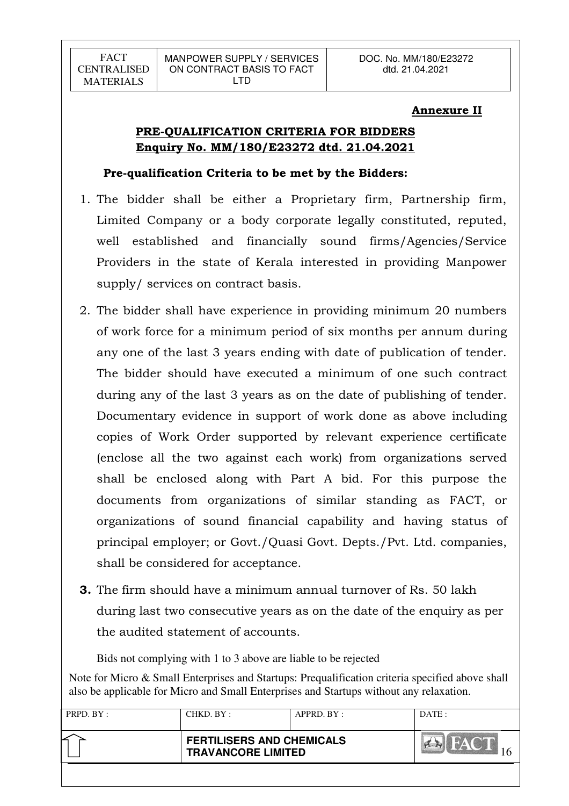#### Annexure II

### PRE-QUALIFICATION CRITERIA FOR BIDDERS Enquiry No. MM/180/E23272 dtd. 21.04.2021

#### Pre-qualification Criteria to be met by the Bidders:

- 1. The bidder shall be either a Proprietary firm, Partnership firm, Limited Company or a body corporate legally constituted, reputed, well established and financially sound firms/Agencies/Service Providers in the state of Kerala interested in providing Manpower supply/ services on contract basis.
- 2. The bidder shall have experience in providing minimum 20 numbers of work force for a minimum period of six months per annum during any one of the last 3 years ending with date of publication of tender. The bidder should have executed a minimum of one such contract during any of the last 3 years as on the date of publishing of tender. Documentary evidence in support of work done as above including copies of Work Order supported by relevant experience certificate (enclose all the two against each work) from organizations served shall be enclosed along with Part A bid. For this purpose the documents from organizations of similar standing as FACT, or organizations of sound financial capability and having status of principal employer; or Govt./Quasi Govt. Depts./Pvt. Ltd. companies, shall be considered for acceptance.
- 3. The firm should have a minimum annual turnover of Rs. 50 lakh during last two consecutive years as on the date of the enquiry as per the audited statement of accounts.

Bids not complying with 1 to 3 above are liable to be rejected

Note for Micro & Small Enterprises and Startups: Prequalification criteria specified above shall also be applicable for Micro and Small Enterprises and Startups without any relaxation.

| PRPD. BY: | CHKD. BY:                                                     | $APPRD$ . $BY$ : | DATE: |
|-----------|---------------------------------------------------------------|------------------|-------|
|           | <b>FERTILISERS AND CHEMICALS</b><br><b>TRAVANCORE LIMITED</b> |                  |       |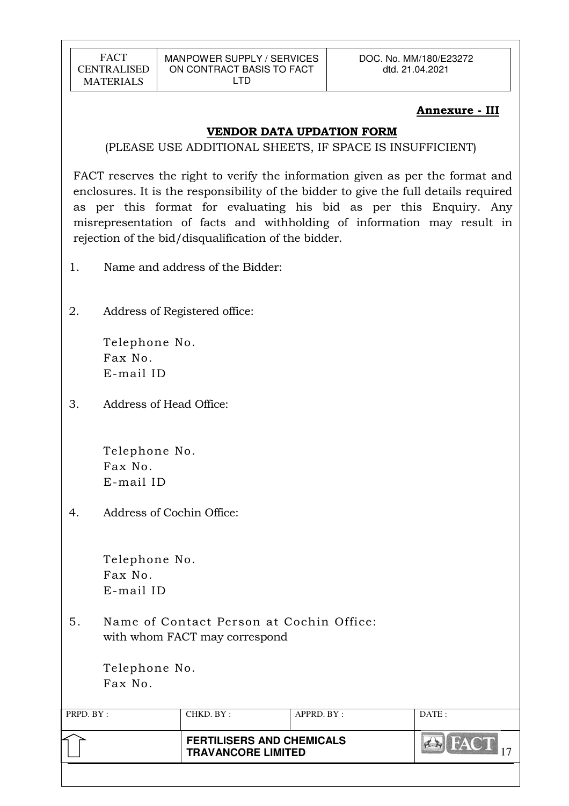### Annexure - III

#### VENDOR DATA UPDATION FORM

(PLEASE USE ADDITIONAL SHEETS, IF SPACE IS INSUFFICIENT)

FACT reserves the right to verify the information given as per the format and enclosures. It is the responsibility of the bidder to give the full details required as per this format for evaluating his bid as per this Enquiry. Any misrepresentation of facts and withholding of information may result in rejection of the bid/disqualification of the bidder.

- 1. Name and address of the Bidder:
- 2. Address of Registered office:

 Telephone No. Fax No. E-mail ID

3. Address of Head Office:

Telephone No. Fax No. E-mail ID

4. Address of Cochin Office:

Telephone No. Fax No. E-mail ID

5. Name of Contact Person at Cochin Office: with whom FACT may correspond

> Telephone No. Fax No.

| PRPD. BY: | CHKD. BY:                                                     | APPRD. BY: | DATE: |
|-----------|---------------------------------------------------------------|------------|-------|
|           | <b>FERTILISERS AND CHEMICALS</b><br><b>TRAVANCORE LIMITED</b> |            |       |
|           |                                                               |            |       |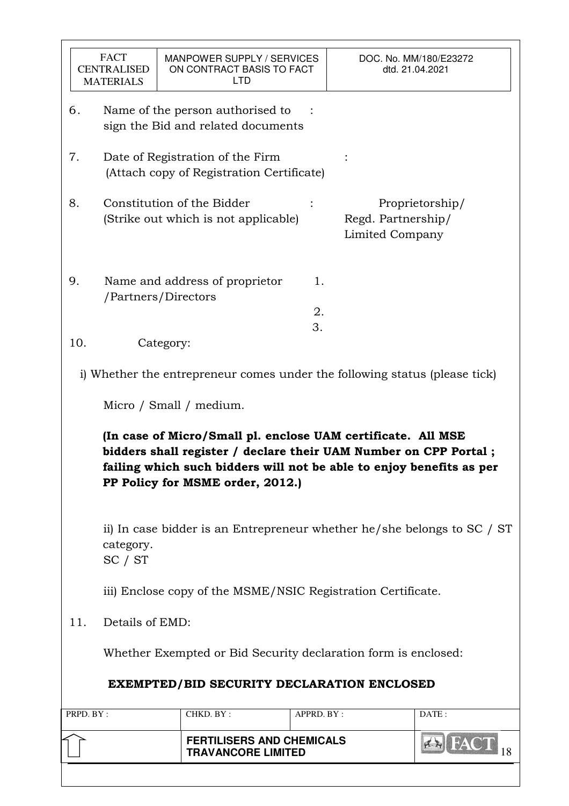|                                            | <b>FACT</b><br><b>CENTRALISED</b><br><b>MATERIALS</b>                                                                                                                                                                                        | <b>MANPOWER SUPPLY / SERVICES</b><br>ON CONTRACT BASIS TO FACT<br><b>LTD</b>  |                |                                       | DOC. No. MM/180/E23272<br>dtd. 21.04.2021 |  |
|--------------------------------------------|----------------------------------------------------------------------------------------------------------------------------------------------------------------------------------------------------------------------------------------------|-------------------------------------------------------------------------------|----------------|---------------------------------------|-------------------------------------------|--|
| 6.                                         |                                                                                                                                                                                                                                              | Name of the person authorised to<br>sign the Bid and related documents        |                |                                       |                                           |  |
| 7.                                         |                                                                                                                                                                                                                                              | Date of Registration of the Firm<br>(Attach copy of Registration Certificate) |                |                                       |                                           |  |
| 8.                                         |                                                                                                                                                                                                                                              | Constitution of the Bidder<br>(Strike out which is not applicable)            |                | Regd. Partnership/<br>Limited Company | Proprietorship/                           |  |
| 9.                                         | /Partners/Directors                                                                                                                                                                                                                          | Name and address of proprietor                                                | 1.<br>2.<br>3. |                                       |                                           |  |
| 10.                                        | Category:                                                                                                                                                                                                                                    |                                                                               |                |                                       |                                           |  |
|                                            |                                                                                                                                                                                                                                              | i) Whether the entrepreneur comes under the following status (please tick)    |                |                                       |                                           |  |
|                                            | Micro / Small / medium.                                                                                                                                                                                                                      |                                                                               |                |                                       |                                           |  |
|                                            | (In case of Micro/Small pl. enclose UAM certificate. All MSE<br>bidders shall register / declare their UAM Number on CPP Portal;<br>failing which such bidders will not be able to enjoy benefits as per<br>PP Policy for MSME order, 2012.) |                                                                               |                |                                       |                                           |  |
|                                            | ii) In case bidder is an Entrepreneur whether he/she belongs to SC / ST<br>category.<br>SC / ST                                                                                                                                              |                                                                               |                |                                       |                                           |  |
|                                            | iii) Enclose copy of the MSME/NSIC Registration Certificate.                                                                                                                                                                                 |                                                                               |                |                                       |                                           |  |
| 11.                                        | Details of EMD:                                                                                                                                                                                                                              |                                                                               |                |                                       |                                           |  |
|                                            | Whether Exempted or Bid Security declaration form is enclosed:                                                                                                                                                                               |                                                                               |                |                                       |                                           |  |
| EXEMPTED/BID SECURITY DECLARATION ENCLOSED |                                                                                                                                                                                                                                              |                                                                               |                |                                       |                                           |  |
| PRPD. BY:                                  |                                                                                                                                                                                                                                              | CHKD. BY:                                                                     | APPRD. BY:     |                                       | DATE:                                     |  |
|                                            |                                                                                                                                                                                                                                              | <b>FERTILISERS AND CHEMICALS</b><br><b>TRAVANCORE LIMITED</b>                 |                |                                       |                                           |  |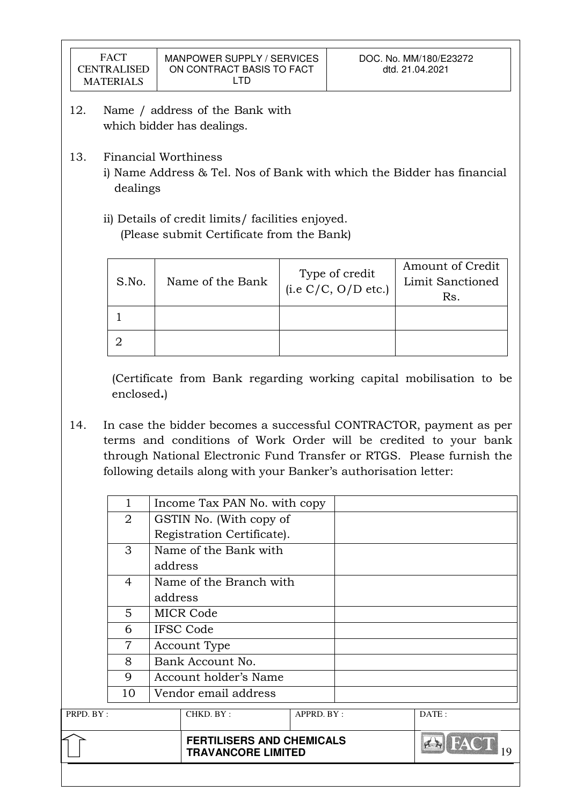- 12. Name / address of the Bank with which bidder has dealings.
- 13. Financial Worthiness
	- i) Name Address & Tel. Nos of Bank with which the Bidder has financial dealings
	- ii) Details of credit limits/ facilities enjoyed. (Please submit Certificate from the Bank)

| S.No. | Name of the Bank | Type of credit<br>(i.e $C/C$ , $O/D$ etc.) | Amount of Credit<br>Limit Sanctioned<br>Rs. |
|-------|------------------|--------------------------------------------|---------------------------------------------|
|       |                  |                                            |                                             |
|       |                  |                                            |                                             |

(Certificate from Bank regarding working capital mobilisation to be enclosed.)

14. In case the bidder becomes a successful CONTRACTOR, payment as per terms and conditions of Work Order will be credited to your bank through National Electronic Fund Transfer or RTGS. Please furnish the following details along with your Banker's authorisation letter:

|            |    | <b>TRAVANCORE LIMITED</b>    | <b>FERTILISERS AND CHEMICALS</b> | <b>BAC</b> |  |
|------------|----|------------------------------|----------------------------------|------------|--|
| PRPD. BY : |    | CHKD. BY:                    | APPRD. BY:                       | DATE:      |  |
|            | 10 | Vendor email address         |                                  |            |  |
|            | 9  | Account holder's Name        |                                  |            |  |
|            | 8  | Bank Account No.             |                                  |            |  |
|            | 7  | Account Type                 |                                  |            |  |
|            | 6  | <b>IFSC Code</b>             |                                  |            |  |
|            | 5  | <b>MICR Code</b>             |                                  |            |  |
|            |    | address                      |                                  |            |  |
|            | 4  | Name of the Branch with      |                                  |            |  |
|            |    | address                      |                                  |            |  |
|            | 3  | Name of the Bank with        |                                  |            |  |
|            |    | Registration Certificate).   |                                  |            |  |
|            | 2  | GSTIN No. (With copy of      |                                  |            |  |
|            |    | Income Tax PAN No. with copy |                                  |            |  |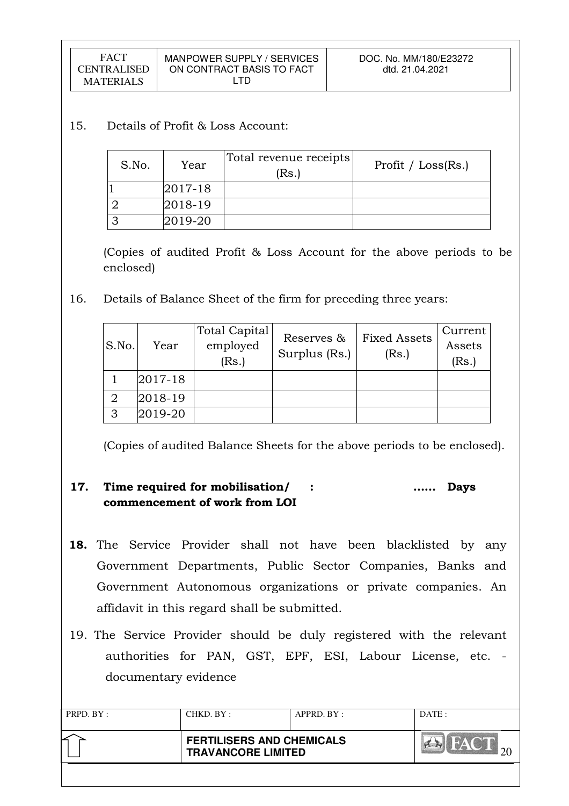| <b>FACT</b>        | MANPOWER SUPPLY / SERVICES | DOC, No. MM/180/E23272 |
|--------------------|----------------------------|------------------------|
| <b>CENTRALISED</b> | ON CONTRACT BASIS TO FACT  | dtd. 21.04.2021        |
| <b>MATERIALS</b>   | l TD                       |                        |

### 15. Details of Profit & Loss Account:

| S.No. | Year        | Total revenue receipts <br>(Rs.) | Profit / $Loss(Rs.)$ |
|-------|-------------|----------------------------------|----------------------|
|       | $ 2017-18$  |                                  |                      |
|       | $ 2018-19 $ |                                  |                      |
|       | $ 2019-20 $ |                                  |                      |

(Copies of audited Profit & Loss Account for the above periods to be enclosed)

### 16. Details of Balance Sheet of the firm for preceding three years:

| S.No.          | Year    | <b>Total Capital</b><br>employed<br>(Rs.) | Reserves &<br>Surplus (Rs.) | <b>Fixed Assets</b><br>(Rs.) | Current<br>Assets<br>(Rs.) |
|----------------|---------|-------------------------------------------|-----------------------------|------------------------------|----------------------------|
|                | 2017-18 |                                           |                             |                              |                            |
| $\overline{2}$ | 2018-19 |                                           |                             |                              |                            |
| 3              | 2019-20 |                                           |                             |                              |                            |

(Copies of audited Balance Sheets for the above periods to be enclosed).

# 17. Time required for mobilisation/ : …… Days commencement of work from LOI

- 18. The Service Provider shall not have been blacklisted by any Government Departments, Public Sector Companies, Banks and Government Autonomous organizations or private companies. An affidavit in this regard shall be submitted.
- 19. The Service Provider should be duly registered with the relevant authorities for PAN, GST, EPF, ESI, Labour License, etc. documentary evidence

| PRPD. BY: | CHKD. BY : | APPRD. BY :                                                   | DATE: |
|-----------|------------|---------------------------------------------------------------|-------|
|           |            | <b>FERTILISERS AND CHEMICALS</b><br><b>TRAVANCORE LIMITED</b> |       |
|           |            |                                                               |       |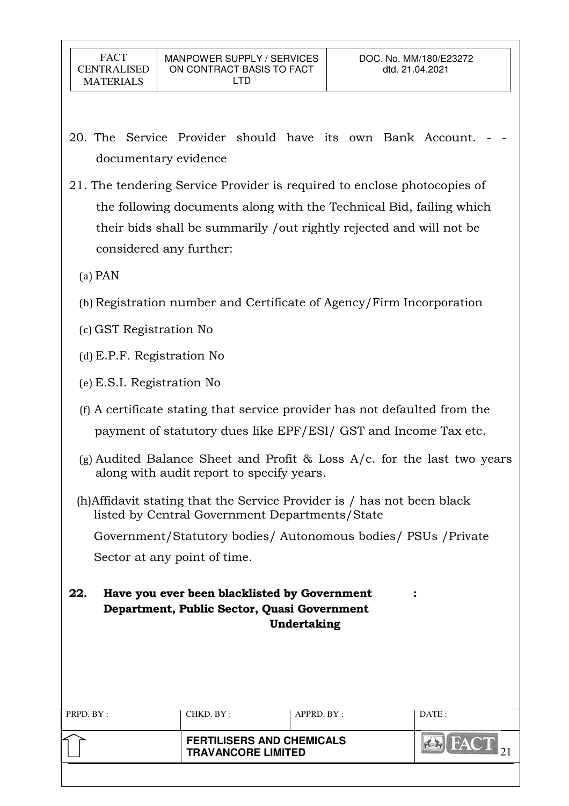- 20. The Service Provider should have its own Bank Account. documentary evidence
- 21. The tendering Service Provider is required to enclose photocopies of the following documents along with the Technical Bid, failing which their bids shall be summarily /out rightly rejected and will not be considered any further:

(a) PAN

- (b) Registration number and Certificate of Agency/Firm Incorporation
- (c) GST Registration No
- (d) E.P.F. Registration No
- (e) E.S.I. Registration No
- (f) A certificate stating that service provider has not defaulted from the payment of statutory dues like EPF/ESI/ GST and Income Tax etc.
- (g) Audited Balance Sheet and Profit & Loss A/c. for the last two years along with audit report to specify years.
- (h)Affidavit stating that the Service Provider is / has not been black listed by Central Government Departments/State

 Government/Statutory bodies/ Autonomous bodies/ PSUs /Private Sector at any point of time.

22. Have you ever been blacklisted by Government : Department, Public Sector, Quasi Government Undertaking

| PRPD. BY: | CHKD. BY :<br><b>FERTILISERS AND CHEMICALS</b> | APPRD. BY : | DATE: |
|-----------|------------------------------------------------|-------------|-------|
|           | <b>TRAVANCORE LIMITED</b>                      |             |       |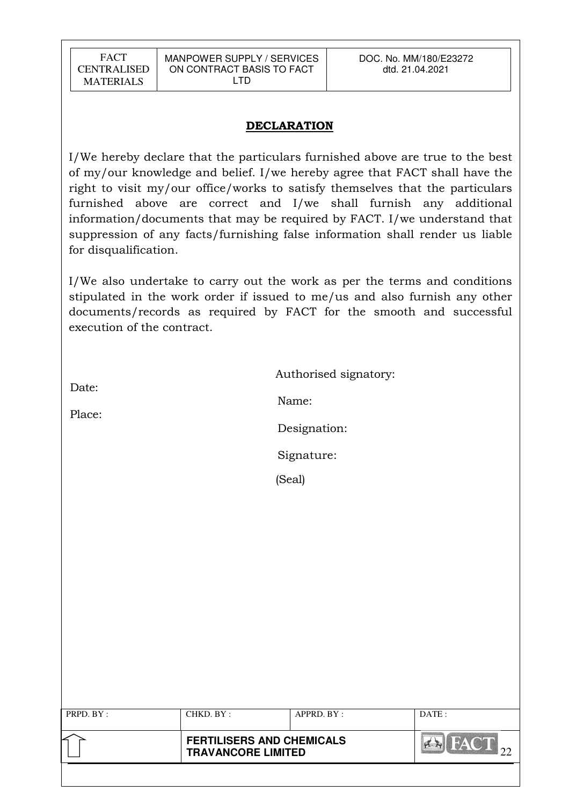# DECLARATION

I/We hereby declare that the particulars furnished above are true to the best of my/our knowledge and belief. I/we hereby agree that FACT shall have the right to visit my/our office/works to satisfy themselves that the particulars furnished above are correct and I/we shall furnish any additional information/documents that may be required by FACT. I/we understand that suppression of any facts/furnishing false information shall render us liable for disqualification.

I/We also undertake to carry out the work as per the terms and conditions stipulated in the work order if issued to me/us and also furnish any other documents/records as required by FACT for the smooth and successful execution of the contract.

Date:

Authorised signatory:

Place:

Name:

Designation:

Signature:

(Seal)

| PRPD. BY: | CHKD. BY :                                                    | APPRD. BY: | DATE:                            |
|-----------|---------------------------------------------------------------|------------|----------------------------------|
|           | <b>FERTILISERS AND CHEMICALS</b><br><b>TRAVANCORE LIMITED</b> |            | <b>EVA</b> Y<br>$\sum_{i=1}^{n}$ |
|           |                                                               |            |                                  |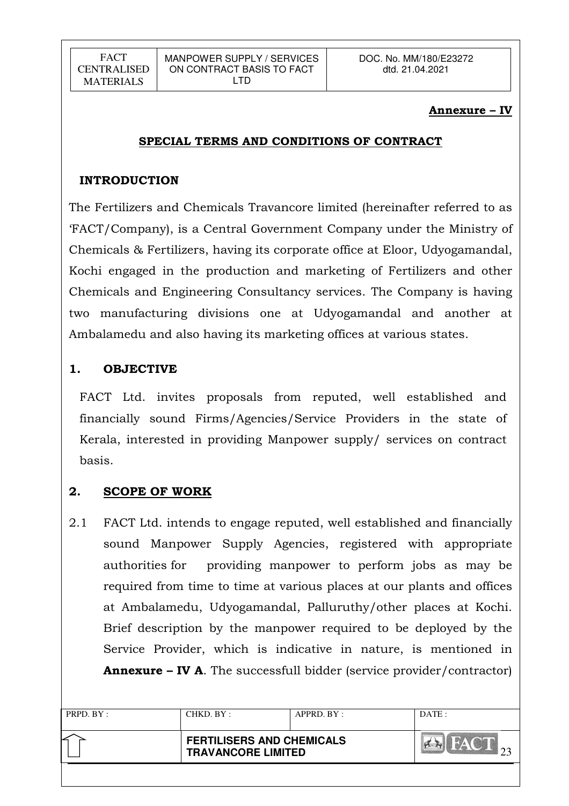## Annexure – IV

#### SPECIAL TERMS AND CONDITIONS OF CONTRACT

### INTRODUCTION

The Fertilizers and Chemicals Travancore limited (hereinafter referred to as 'FACT/Company), is a Central Government Company under the Ministry of Chemicals & Fertilizers, having its corporate office at Eloor, Udyogamandal, Kochi engaged in the production and marketing of Fertilizers and other Chemicals and Engineering Consultancy services. The Company is having two manufacturing divisions one at Udyogamandal and another at Ambalamedu and also having its marketing offices at various states.

### 1. OBJECTIVE

FACT Ltd. invites proposals from reputed, well established and financially sound Firms/Agencies/Service Providers in the state of Kerala, interested in providing Manpower supply/ services on contract basis.

### 2. SCOPE OF WORK

2.1 FACT Ltd. intends to engage reputed, well established and financially sound Manpower Supply Agencies, registered with appropriate authorities for providing manpower to perform jobs as may be required from time to time at various places at our plants and offices at Ambalamedu, Udyogamandal, Palluruthy/other places at Kochi. Brief description by the manpower required to be deployed by the Service Provider, which is indicative in nature, is mentioned in Annexure – IV A. The successfull bidder (service provider/contractor)

| PRPD. BY: | CHKD. BY: | $APPRD$ . $BY$ :                                              | DATE: |
|-----------|-----------|---------------------------------------------------------------|-------|
|           |           | <b>FERTILISERS AND CHEMICALS</b><br><b>TRAVANCORE LIMITED</b> |       |
|           |           |                                                               |       |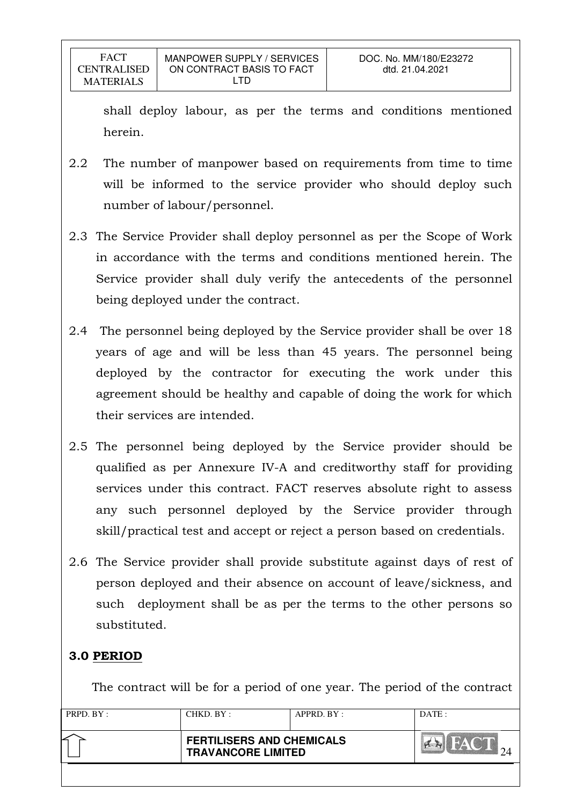shall deploy labour, as per the terms and conditions mentioned herein.

- 2.2 The number of manpower based on requirements from time to time will be informed to the service provider who should deploy such number of labour/personnel.
- 2.3 The Service Provider shall deploy personnel as per the Scope of Work in accordance with the terms and conditions mentioned herein. The Service provider shall duly verify the antecedents of the personnel being deployed under the contract.
- 2.4 The personnel being deployed by the Service provider shall be over 18 years of age and will be less than 45 years. The personnel being deployed by the contractor for executing the work under this agreement should be healthy and capable of doing the work for which their services are intended.
- 2.5 The personnel being deployed by the Service provider should be qualified as per Annexure IV-A and creditworthy staff for providing services under this contract. FACT reserves absolute right to assess any such personnel deployed by the Service provider through skill/practical test and accept or reject a person based on credentials.
- 2.6 The Service provider shall provide substitute against days of rest of person deployed and their absence on account of leave/sickness, and such deployment shall be as per the terms to the other persons so substituted.

# 3.0 PERIOD

The contract will be for a period of one year. The period of the contract

| PRPD. BY: | CHKD. BY : | APPRD. BY :                                                   | DATA: |
|-----------|------------|---------------------------------------------------------------|-------|
|           |            | <b>FERTILISERS AND CHEMICALS</b><br><b>TRAVANCORE LIMITED</b> |       |
|           |            |                                                               |       |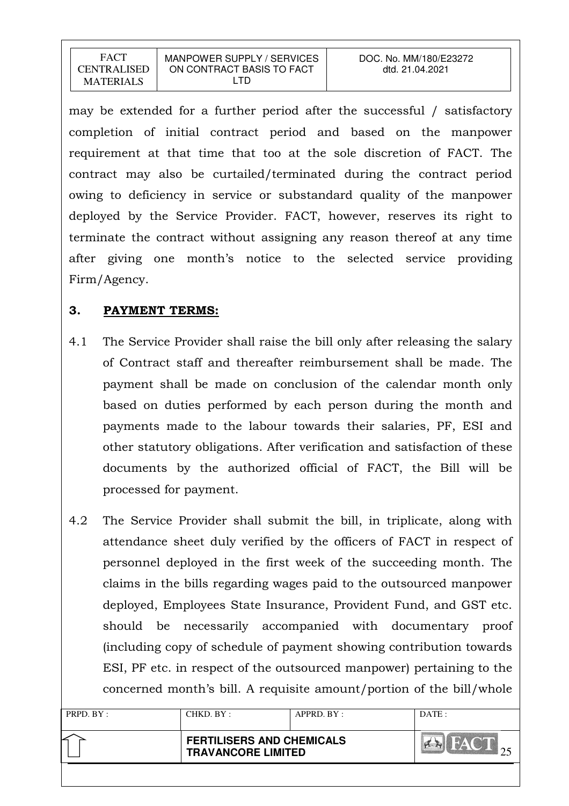may be extended for a further period after the successful / satisfactory completion of initial contract period and based on the manpower requirement at that time that too at the sole discretion of FACT. The contract may also be curtailed/terminated during the contract period owing to deficiency in service or substandard quality of the manpower deployed by the Service Provider. FACT, however, reserves its right to terminate the contract without assigning any reason thereof at any time after giving one month's notice to the selected service providing Firm/Agency.

# 3. PAYMENT TERMS:

- 4.1 The Service Provider shall raise the bill only after releasing the salary of Contract staff and thereafter reimbursement shall be made. The payment shall be made on conclusion of the calendar month only based on duties performed by each person during the month and payments made to the labour towards their salaries, PF, ESI and other statutory obligations. After verification and satisfaction of these documents by the authorized official of FACT, the Bill will be processed for payment.
- 4.2 The Service Provider shall submit the bill, in triplicate, along with attendance sheet duly verified by the officers of FACT in respect of personnel deployed in the first week of the succeeding month. The claims in the bills regarding wages paid to the outsourced manpower deployed, Employees State Insurance, Provident Fund, and GST etc. should be necessarily accompanied with documentary proof (including copy of schedule of payment showing contribution towards ESI, PF etc. in respect of the outsourced manpower) pertaining to the concerned month's bill. A requisite amount/portion of the bill/whole

| PRPD. BY:<br>CHKD. BY :-<br>$APPRD$ . $BY$ :<br><b>FERTILISERS AND CHEMICALS</b> |                           | DATE: |  |
|----------------------------------------------------------------------------------|---------------------------|-------|--|
|                                                                                  | <b>TRAVANCORE LIMITED</b> |       |  |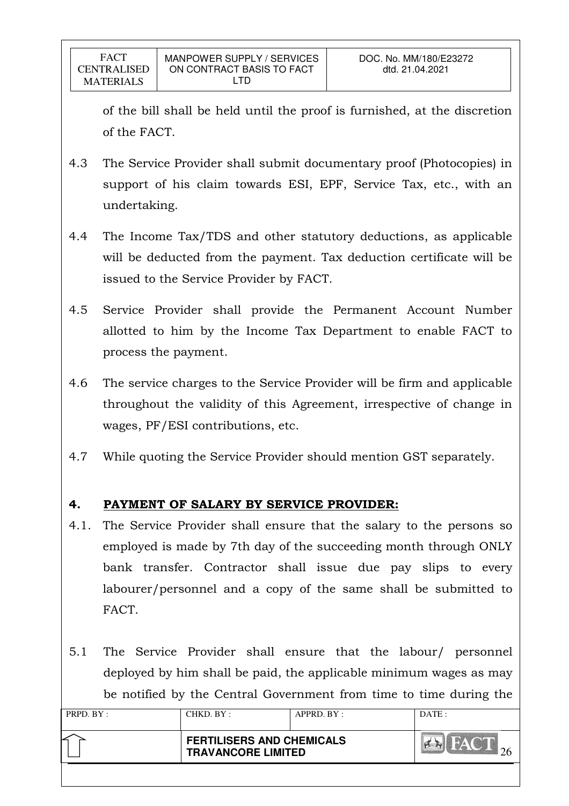of the bill shall be held until the proof is furnished, at the discretion of the FACT.

- 4.3 The Service Provider shall submit documentary proof (Photocopies) in support of his claim towards ESI, EPF, Service Tax, etc., with an undertaking.
- 4.4 The Income Tax/TDS and other statutory deductions, as applicable will be deducted from the payment. Tax deduction certificate will be issued to the Service Provider by FACT.
- 4.5 Service Provider shall provide the Permanent Account Number allotted to him by the Income Tax Department to enable FACT to process the payment.
- 4.6 The service charges to the Service Provider will be firm and applicable throughout the validity of this Agreement, irrespective of change in wages, PF/ESI contributions, etc.
- 4.7 While quoting the Service Provider should mention GST separately.

# 4. PAYMENT OF SALARY BY SERVICE PROVIDER:

- 4.1. The Service Provider shall ensure that the salary to the persons so employed is made by 7th day of the succeeding month through ONLY bank transfer. Contractor shall issue due pay slips to every labourer/personnel and a copy of the same shall be submitted to FACT.
- 5.1 The Service Provider shall ensure that the labour/ personnel deployed by him shall be paid, the applicable minimum wages as may be notified by the Central Government from time to time during the

| PRPD. BY: | CHKD. BY :                                                    | $APPRD$ . $BY$ : | DATE: |
|-----------|---------------------------------------------------------------|------------------|-------|
|           | <b>FERTILISERS AND CHEMICALS</b><br><b>TRAVANCORE LIMITED</b> |                  |       |
|           |                                                               |                  |       |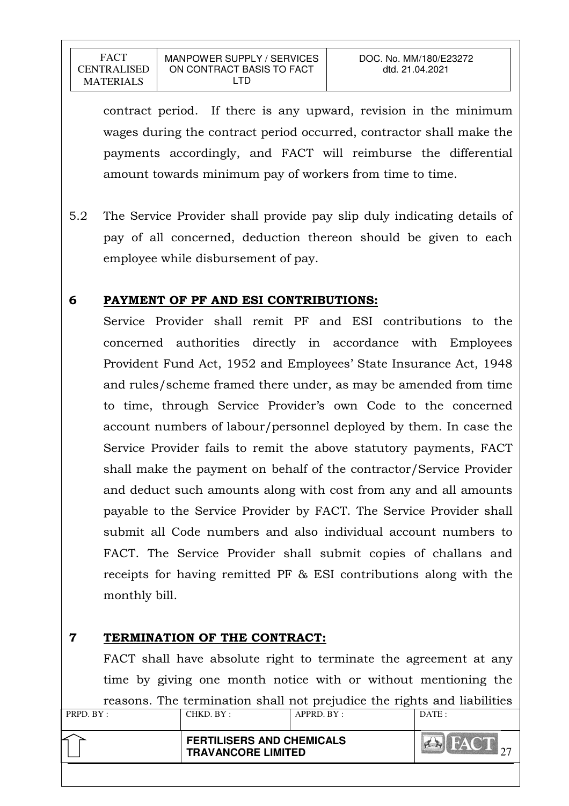contract period. If there is any upward, revision in the minimum wages during the contract period occurred, contractor shall make the payments accordingly, and FACT will reimburse the differential amount towards minimum pay of workers from time to time.

5.2 The Service Provider shall provide pay slip duly indicating details of pay of all concerned, deduction thereon should be given to each employee while disbursement of pay.

# 6 PAYMENT OF PF AND ESI CONTRIBUTIONS:

Service Provider shall remit PF and ESI contributions to the concerned authorities directly in accordance with Employees Provident Fund Act, 1952 and Employees' State Insurance Act, 1948 and rules/scheme framed there under, as may be amended from time to time, through Service Provider's own Code to the concerned account numbers of labour/personnel deployed by them. In case the Service Provider fails to remit the above statutory payments, FACT shall make the payment on behalf of the contractor/Service Provider and deduct such amounts along with cost from any and all amounts payable to the Service Provider by FACT. The Service Provider shall submit all Code numbers and also individual account numbers to FACT. The Service Provider shall submit copies of challans and receipts for having remitted PF & ESI contributions along with the monthly bill.

# 7 TERMINATION OF THE CONTRACT:

PRPD. BY : CHKD. BY : APPRD. BY : DATE : FACT shall have absolute right to terminate the agreement at any time by giving one month notice with or without mentioning the reasons. The termination shall not prejudice the rights and liabilities

| <b>FERTILISERS AND CHEMICALS</b><br><b>TRAVANCORE LIMITED</b> | $-1$ |
|---------------------------------------------------------------|------|
|                                                               |      |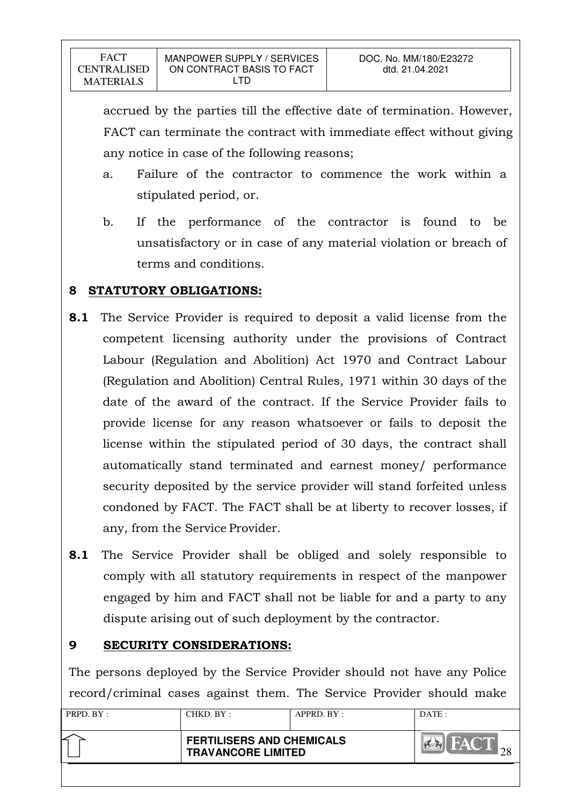accrued by the parties till the effective date of termination. However, FACT can terminate the contract with immediate effect without giving any notice in case of the following reasons;

- a. Failure of the contractor to commence the work within a stipulated period, or.
- b. If the performance of the contractor is found to be unsatisfactory or in case of any material violation or breach of terms and conditions.

# 8 STATUTORY OBLIGATIONS:

- 8.1 The Service Provider is required to deposit a valid license from the competent licensing authority under the provisions of Contract Labour (Regulation and Abolition) Act 1970 and Contract Labour (Regulation and Abolition) Central Rules, 1971 within 30 days of the date of the award of the contract. If the Service Provider fails to provide license for any reason whatsoever or fails to deposit the license within the stipulated period of 30 days, the contract shall automatically stand terminated and earnest money/ performance security deposited by the service provider will stand forfeited unless condoned by FACT. The FACT shall be at liberty to recover losses, if any, from the Service Provider.
- 8.1 The Service Provider shall be obliged and solely responsible to comply with all statutory requirements in respect of the manpower engaged by him and FACT shall not be liable for and a party to any dispute arising out of such deployment by the contractor.

# 9 SECURITY CONSIDERATIONS:

The persons deployed by the Service Provider should not have any Police record/criminal cases against them. The Service Provider should make

| PRPD. BY: | CHKD. BY:<br><b>FERTILISERS AND CHEMICALS</b> | APPRD. BY: | DATE: |
|-----------|-----------------------------------------------|------------|-------|
|           | <b>TRAVANCORE LIMITED</b>                     |            |       |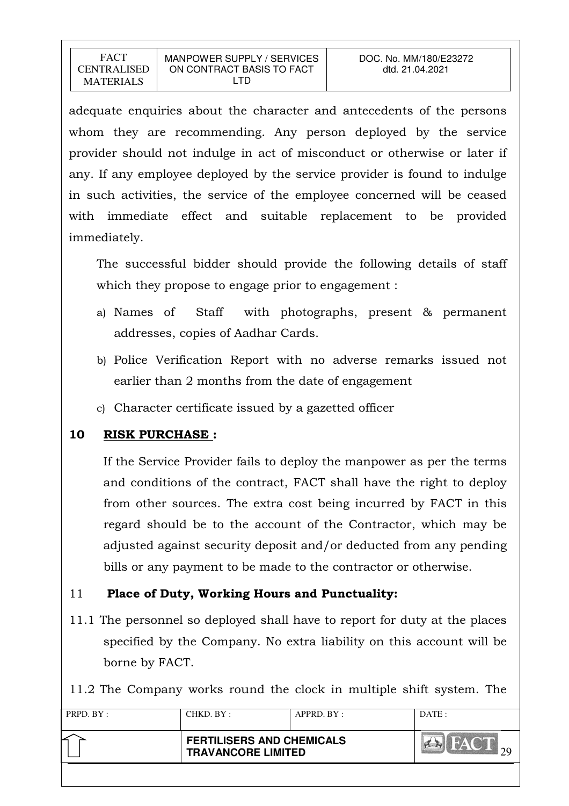adequate enquiries about the character and antecedents of the persons whom they are recommending. Any person deployed by the service provider should not indulge in act of misconduct or otherwise or later if any. If any employee deployed by the service provider is found to indulge in such activities, the service of the employee concerned will be ceased with immediate effect and suitable replacement to be provided immediately.

The successful bidder should provide the following details of staff which they propose to engage prior to engagement :

- a) Names of Staff with photographs, present & permanent addresses, copies of Aadhar Cards.
- b) Police Verification Report with no adverse remarks issued not earlier than 2 months from the date of engagement
- c) Character certificate issued by a gazetted officer

# 10 RISK PURCHASE :

If the Service Provider fails to deploy the manpower as per the terms and conditions of the contract, FACT shall have the right to deploy from other sources. The extra cost being incurred by FACT in this regard should be to the account of the Contractor, which may be adjusted against security deposit and/or deducted from any pending bills or any payment to be made to the contractor or otherwise.

# 11 Place of Duty, Working Hours and Punctuality:

11.1 The personnel so deployed shall have to report for duty at the places specified by the Company. No extra liability on this account will be borne by FACT.

11.2 The Company works round the clock in multiple shift system. The

| PRPD. BY: | CHKD. BY :                                                    | APPRD. BY: | DATE: |
|-----------|---------------------------------------------------------------|------------|-------|
|           | <b>FERTILISERS AND CHEMICALS</b><br><b>TRAVANCORE LIMITED</b> |            |       |
|           |                                                               |            |       |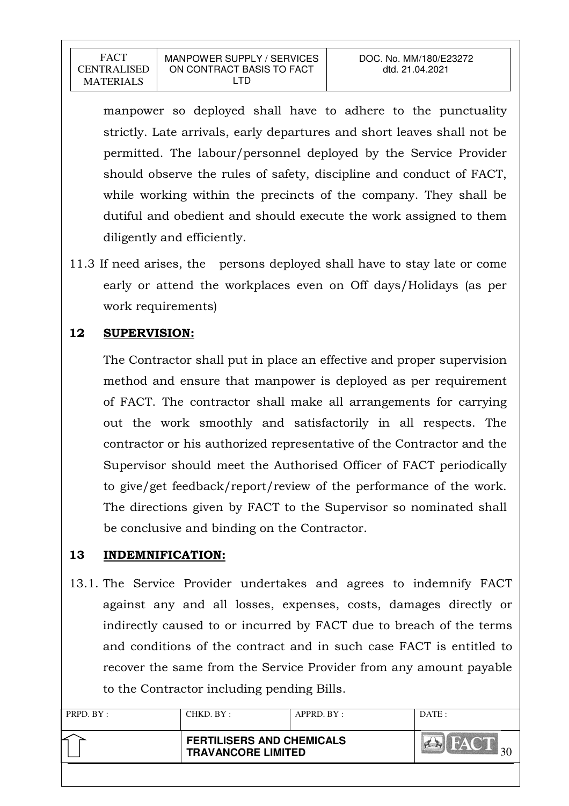manpower so deployed shall have to adhere to the punctuality strictly. Late arrivals, early departures and short leaves shall not be permitted. The labour/personnel deployed by the Service Provider should observe the rules of safety, discipline and conduct of FACT, while working within the precincts of the company. They shall be dutiful and obedient and should execute the work assigned to them diligently and efficiently.

11.3 If need arises, the persons deployed shall have to stay late or come early or attend the workplaces even on Off days/Holidays (as per work requirements)

# 12 SUPERVISION:

The Contractor shall put in place an effective and proper supervision method and ensure that manpower is deployed as per requirement of FACT. The contractor shall make all arrangements for carrying out the work smoothly and satisfactorily in all respects. The contractor or his authorized representative of the Contractor and the Supervisor should meet the Authorised Officer of FACT periodically to give/get feedback/report/review of the performance of the work. The directions given by FACT to the Supervisor so nominated shall be conclusive and binding on the Contractor.

# 13 INDEMNIFICATION:

13.1. The Service Provider undertakes and agrees to indemnify FACT against any and all losses, expenses, costs, damages directly or indirectly caused to or incurred by FACT due to breach of the terms and conditions of the contract and in such case FACT is entitled to recover the same from the Service Provider from any amount payable to the Contractor including pending Bills.

| PRPD. BY: | CHKD. BY :                | APPRD. BY:                       | DATA: |
|-----------|---------------------------|----------------------------------|-------|
|           | <b>TRAVANCORE LIMITED</b> | <b>FERTILISERS AND CHEMICALS</b> |       |
|           |                           |                                  |       |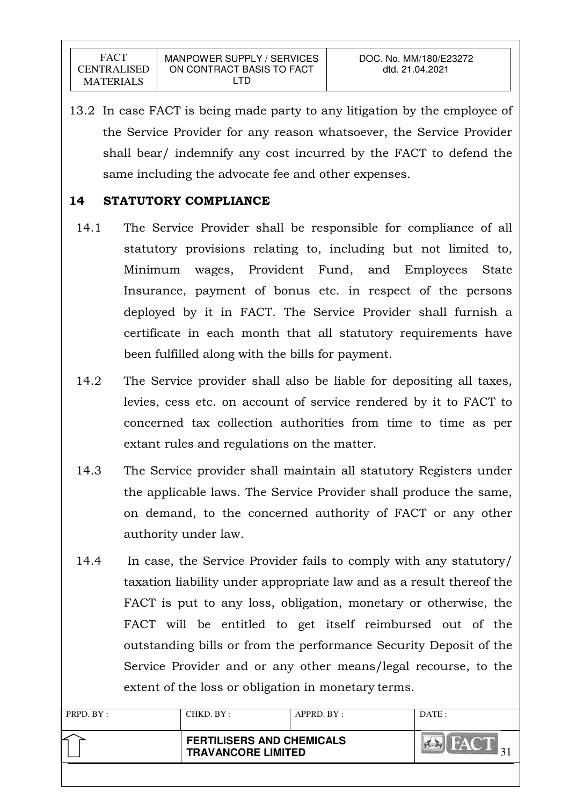13.2 In case FACT is being made party to any litigation by the employee of the Service Provider for any reason whatsoever, the Service Provider shall bear/ indemnify any cost incurred by the FACT to defend the same including the advocate fee and other expenses.

# 14 STATUTORY COMPLIANCE

- 14.1 The Service Provider shall be responsible for compliance of all statutory provisions relating to, including but not limited to, Minimum wages, Provident Fund, and Employees State Insurance, payment of bonus etc. in respect of the persons deployed by it in FACT. The Service Provider shall furnish a certificate in each month that all statutory requirements have been fulfilled along with the bills for payment.
- 14.2 The Service provider shall also be liable for depositing all taxes, levies, cess etc. on account of service rendered by it to FACT to concerned tax collection authorities from time to time as per extant rules and regulations on the matter.
- 14.3 The Service provider shall maintain all statutory Registers under the applicable laws. The Service Provider shall produce the same, on demand, to the concerned authority of FACT or any other authority under law.
- 14.4 In case, the Service Provider fails to comply with any statutory/ taxation liability under appropriate law and as a result thereof the FACT is put to any loss, obligation, monetary or otherwise, the FACT will be entitled to get itself reimbursed out of the outstanding bills or from the performance Security Deposit of the Service Provider and or any other means/legal recourse, to the extent of the loss or obligation in monetary terms.

| PRPD. BY: | CHKD. BY :                | APPRD. BY:                       | DATA: |
|-----------|---------------------------|----------------------------------|-------|
|           | <b>TRAVANCORE LIMITED</b> | <b>FERTILISERS AND CHEMICALS</b> |       |
|           |                           |                                  |       |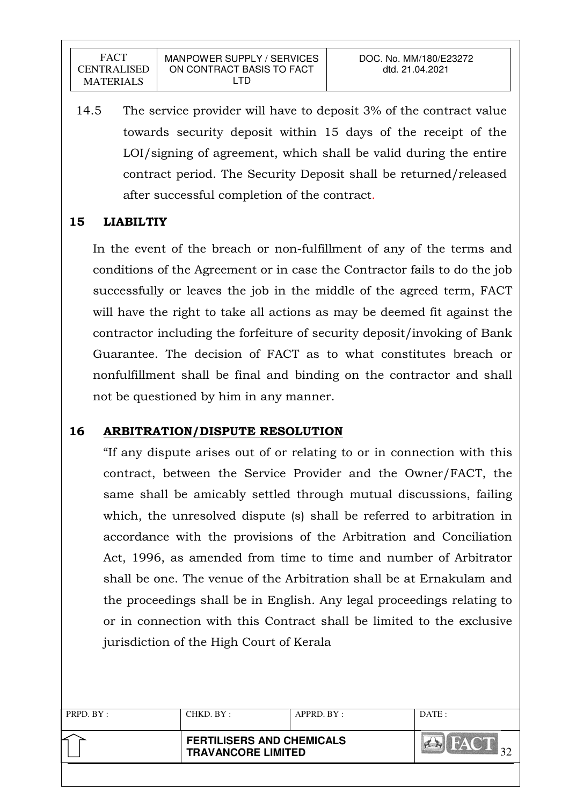14.5 The service provider will have to deposit 3% of the contract value towards security deposit within 15 days of the receipt of the LOI/signing of agreement, which shall be valid during the entire contract period. The Security Deposit shall be returned/released after successful completion of the contract.

### 15 LIABILTIY

In the event of the breach or non-fulfillment of any of the terms and conditions of the Agreement or in case the Contractor fails to do the job successfully or leaves the job in the middle of the agreed term, FACT will have the right to take all actions as may be deemed fit against the contractor including the forfeiture of security deposit/invoking of Bank Guarantee. The decision of FACT as to what constitutes breach or nonfulfillment shall be final and binding on the contractor and shall not be questioned by him in any manner.

# 16 ARBITRATION/DISPUTE RESOLUTION

"If any dispute arises out of or relating to or in connection with this contract, between the Service Provider and the Owner/FACT, the same shall be amicably settled through mutual discussions, failing which, the unresolved dispute (s) shall be referred to arbitration in accordance with the provisions of the Arbitration and Conciliation Act, 1996, as amended from time to time and number of Arbitrator shall be one. The venue of the Arbitration shall be at Ernakulam and the proceedings shall be in English. Any legal proceedings relating to or in connection with this Contract shall be limited to the exclusive jurisdiction of the High Court of Kerala

| PRPD. BY: | CHKD. BY :                                                    | APPRD. BY: | DATE: |
|-----------|---------------------------------------------------------------|------------|-------|
|           | <b>FERTILISERS AND CHEMICALS</b><br><b>TRAVANCORE LIMITED</b> |            |       |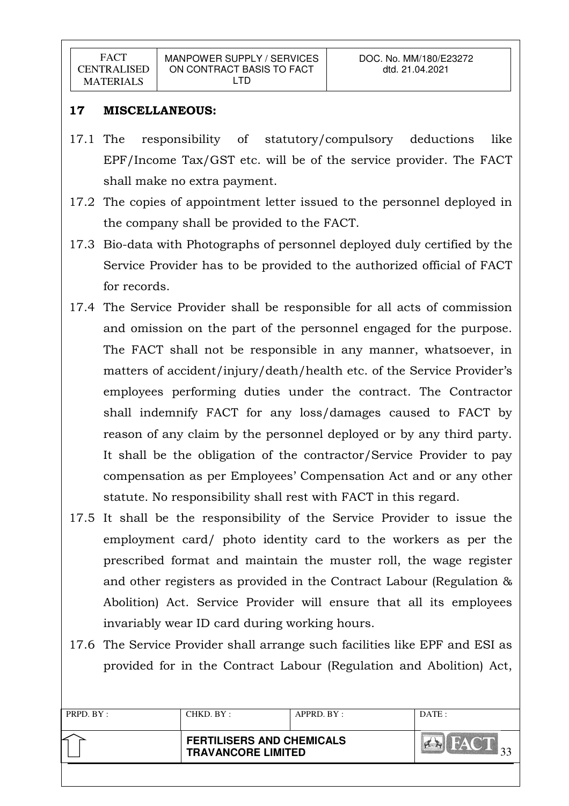# 17 MISCELLANEOUS:

- 17.1 The responsibility of statutory/compulsory deductions like EPF/Income Tax/GST etc. will be of the service provider. The FACT shall make no extra payment.
- 17.2 The copies of appointment letter issued to the personnel deployed in the company shall be provided to the FACT.
- 17.3 Bio-data with Photographs of personnel deployed duly certified by the Service Provider has to be provided to the authorized official of FACT for records.
- 17.4 The Service Provider shall be responsible for all acts of commission and omission on the part of the personnel engaged for the purpose. The FACT shall not be responsible in any manner, whatsoever, in matters of accident/injury/death/health etc. of the Service Provider's employees performing duties under the contract. The Contractor shall indemnify FACT for any loss/damages caused to FACT by reason of any claim by the personnel deployed or by any third party. It shall be the obligation of the contractor/Service Provider to pay compensation as per Employees' Compensation Act and or any other statute. No responsibility shall rest with FACT in this regard.
- 17.5 It shall be the responsibility of the Service Provider to issue the employment card/ photo identity card to the workers as per the prescribed format and maintain the muster roll, the wage register and other registers as provided in the Contract Labour (Regulation & Abolition) Act. Service Provider will ensure that all its employees invariably wear ID card during working hours.
- 17.6 The Service Provider shall arrange such facilities like EPF and ESI as provided for in the Contract Labour (Regulation and Abolition) Act,

| PRPD. BY: | CHKD. BY :                                                    | APPRD. BY: | DATE: |
|-----------|---------------------------------------------------------------|------------|-------|
|           | <b>FERTILISERS AND CHEMICALS</b><br><b>TRAVANCORE LIMITED</b> |            |       |
|           |                                                               |            |       |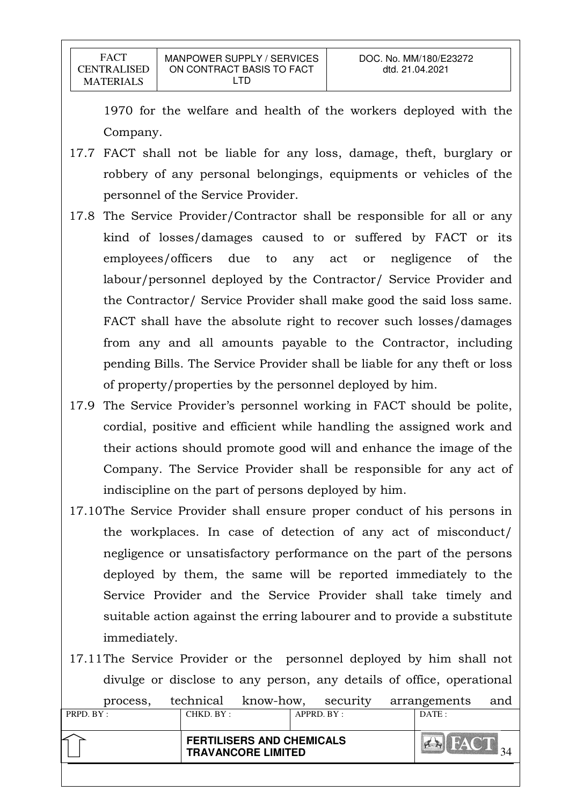1970 for the welfare and health of the workers deployed with the Company.

- 17.7 FACT shall not be liable for any loss, damage, theft, burglary or robbery of any personal belongings, equipments or vehicles of the personnel of the Service Provider.
- 17.8 The Service Provider/Contractor shall be responsible for all or any kind of losses/damages caused to or suffered by FACT or its employees/officers due to any act or negligence of the labour/personnel deployed by the Contractor/ Service Provider and the Contractor/ Service Provider shall make good the said loss same. FACT shall have the absolute right to recover such losses/damages from any and all amounts payable to the Contractor, including pending Bills. The Service Provider shall be liable for any theft or loss of property/properties by the personnel deployed by him.
- 17.9 The Service Provider's personnel working in FACT should be polite, cordial, positive and efficient while handling the assigned work and their actions should promote good will and enhance the image of the Company. The Service Provider shall be responsible for any act of indiscipline on the part of persons deployed by him.
- 17.10The Service Provider shall ensure proper conduct of his persons in the workplaces. In case of detection of any act of misconduct/ negligence or unsatisfactory performance on the part of the persons deployed by them, the same will be reported immediately to the Service Provider and the Service Provider shall take timely and suitable action against the erring labourer and to provide a substitute immediately.
- PRPD. BY : CHKD. BY : APPRD. BY : DATE : **FERTILISERS AND CHEMICALS TERTILISERS AND CHEMICALS FERTILISERS AND CHEMICALS FACT**  $\begin{bmatrix} 1 & 1 \\ 3 & 4 \end{bmatrix}$  **FACT**  $\begin{bmatrix} 34 \end{bmatrix}$ 17.11The Service Provider or the personnel deployed by him shall not divulge or disclose to any person, any details of office, operational process, technical know-how, security arrangements and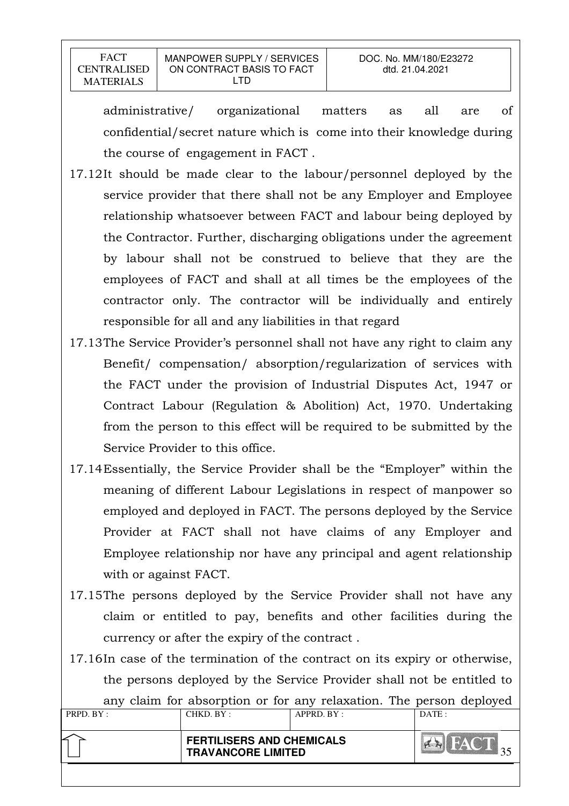administrative/ organizational matters as all are of confidential/secret nature which is come into their knowledge during the course of engagement in FACT .

- 17.12It should be made clear to the labour/personnel deployed by the service provider that there shall not be any Employer and Employee relationship whatsoever between FACT and labour being deployed by the Contractor. Further, discharging obligations under the agreement by labour shall not be construed to believe that they are the employees of FACT and shall at all times be the employees of the contractor only. The contractor will be individually and entirely responsible for all and any liabilities in that regard
- 17.13The Service Provider's personnel shall not have any right to claim any Benefit/ compensation/ absorption/regularization of services with the FACT under the provision of Industrial Disputes Act, 1947 or Contract Labour (Regulation & Abolition) Act, 1970. Undertaking from the person to this effect will be required to be submitted by the Service Provider to this office.
- 17.14Essentially, the Service Provider shall be the "Employer" within the meaning of different Labour Legislations in respect of manpower so employed and deployed in FACT. The persons deployed by the Service Provider at FACT shall not have claims of any Employer and Employee relationship nor have any principal and agent relationship with or against FACT.
- 17.15The persons deployed by the Service Provider shall not have any claim or entitled to pay, benefits and other facilities during the currency or after the expiry of the contract .
- 17.16In case of the termination of the contract on its expiry or otherwise, the persons deployed by the Service Provider shall not be entitled to any claim for absorption or for any relaxation. The person deployed

| PRPD. BY: | CHKD. BY:                                                     | APPRD. BY: | DATA |
|-----------|---------------------------------------------------------------|------------|------|
|           | <b>FERTILISERS AND CHEMICALS</b><br><b>TRAVANCORE LIMITED</b> |            |      |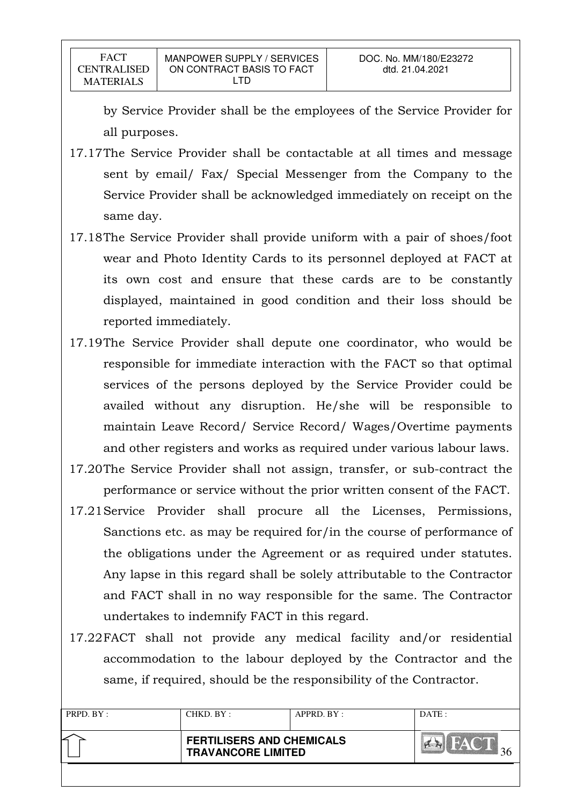by Service Provider shall be the employees of the Service Provider for all purposes.

- 17.17The Service Provider shall be contactable at all times and message sent by email/ Fax/ Special Messenger from the Company to the Service Provider shall be acknowledged immediately on receipt on the same day.
- 17.18The Service Provider shall provide uniform with a pair of shoes/foot wear and Photo Identity Cards to its personnel deployed at FACT at its own cost and ensure that these cards are to be constantly displayed, maintained in good condition and their loss should be reported immediately.
- 17.19The Service Provider shall depute one coordinator, who would be responsible for immediate interaction with the FACT so that optimal services of the persons deployed by the Service Provider could be availed without any disruption. He/she will be responsible to maintain Leave Record/ Service Record/ Wages/Overtime payments and other registers and works as required under various labour laws.
- 17.20The Service Provider shall not assign, transfer, or sub-contract the performance or service without the prior written consent of the FACT.
- 17.21Service Provider shall procure all the Licenses, Permissions, Sanctions etc. as may be required for/in the course of performance of the obligations under the Agreement or as required under statutes. Any lapse in this regard shall be solely attributable to the Contractor and FACT shall in no way responsible for the same. The Contractor undertakes to indemnify FACT in this regard.
- 17.22FACT shall not provide any medical facility and/or residential accommodation to the labour deployed by the Contractor and the same, if required, should be the responsibility of the Contractor.

| <b>FERTILISERS AND CHEMICALS</b><br><b>TRAVANCORE LIMITED</b> | PRPD. BY: | CHKD. BY: | APPRD. BY: | DATA |
|---------------------------------------------------------------|-----------|-----------|------------|------|
|                                                               |           |           |            |      |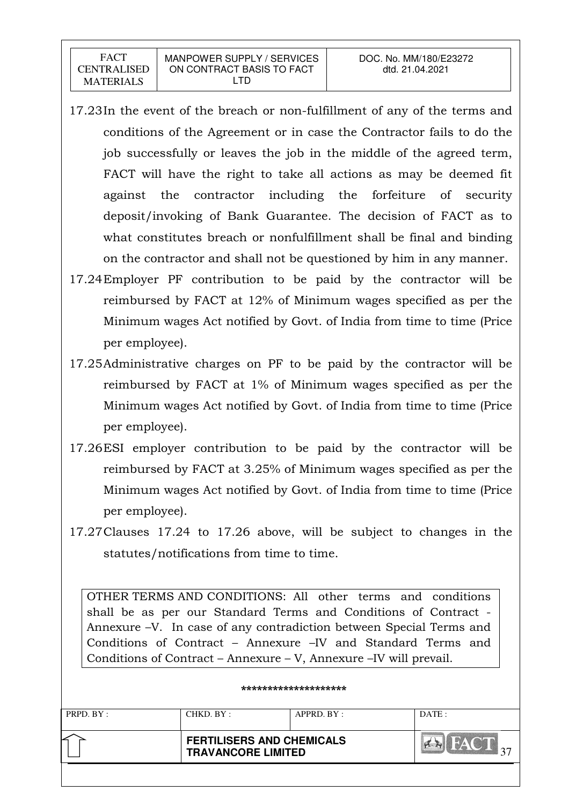- 17.23In the event of the breach or non-fulfillment of any of the terms and conditions of the Agreement or in case the Contractor fails to do the job successfully or leaves the job in the middle of the agreed term, FACT will have the right to take all actions as may be deemed fit against the contractor including the forfeiture of security deposit/invoking of Bank Guarantee. The decision of FACT as to what constitutes breach or nonfulfillment shall be final and binding on the contractor and shall not be questioned by him in any manner.
- 17.24Employer PF contribution to be paid by the contractor will be reimbursed by FACT at 12% of Minimum wages specified as per the Minimum wages Act notified by Govt. of India from time to time (Price per employee).
- 17.25Administrative charges on PF to be paid by the contractor will be reimbursed by FACT at 1% of Minimum wages specified as per the Minimum wages Act notified by Govt. of India from time to time (Price per employee).
- 17.26ESI employer contribution to be paid by the contractor will be reimbursed by FACT at 3.25% of Minimum wages specified as per the Minimum wages Act notified by Govt. of India from time to time (Price per employee).
- 17.27Clauses 17.24 to 17.26 above, will be subject to changes in the statutes/notifications from time to time.

OTHER TERMS AND CONDITIONS: All other terms and conditions shall be as per our Standard Terms and Conditions of Contract - Annexure –V. In case of any contradiction between Special Terms and Conditions of Contract – Annexure –IV and Standard Terms and Conditions of Contract – Annexure – V, Annexure –IV will prevail.

#### \*\*\*\*\*\*\*\*\*\*\*\*\*\*\*\*\*\*\*\*

| PRPD. BY: | CHKD. BY :-                                                   | $APPRD$ . $BY:$ | DATE: |
|-----------|---------------------------------------------------------------|-----------------|-------|
|           | <b>FERTILISERS AND CHEMICALS</b><br><b>TRAVANCORE LIMITED</b> |                 |       |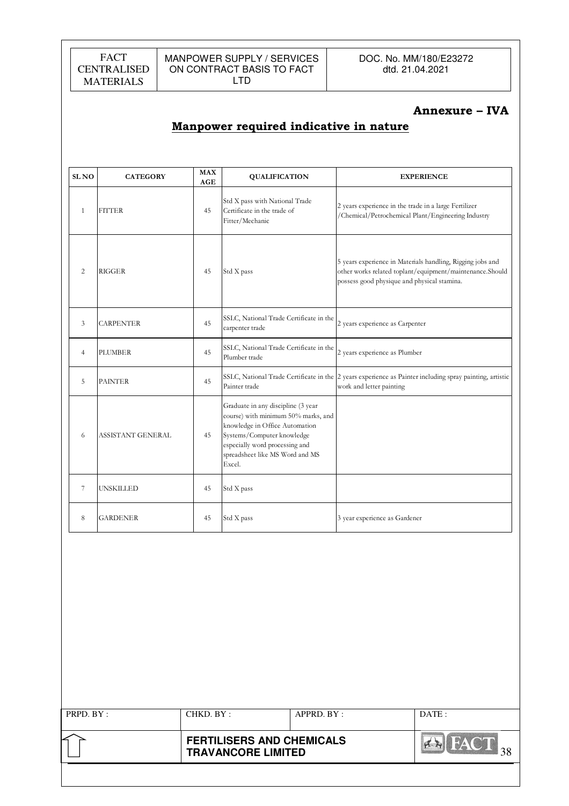# Annexure – IVA

# Manpower required indicative in nature

| <b>SLNO</b>    | <b>CATEGORY</b>   | MAX<br>AGE | <b>QUALIFICATION</b>                                                                                                                                                                                                     | <b>EXPERIENCE</b>                                                                                                                                                     |
|----------------|-------------------|------------|--------------------------------------------------------------------------------------------------------------------------------------------------------------------------------------------------------------------------|-----------------------------------------------------------------------------------------------------------------------------------------------------------------------|
| $\mathbf{1}$   | <b>FITTER</b>     | 45         | Std X pass with National Trade<br>Certificate in the trade of<br>Fitter/Mechanic                                                                                                                                         | 2 years experience in the trade in a large Fertilizer<br>/Chemical/Petrochemical Plant/Engineering Industry                                                           |
| $\overline{2}$ | <b>RIGGER</b>     | 45         | Std X pass                                                                                                                                                                                                               | 5 years experience in Materials handling, Rigging jobs and<br>other works related toplant/equipment/maintenance.Should<br>possess good physique and physical stamina. |
| 3              | <b>CARPENTER</b>  | 45         | SSLC, National Trade Certificate in the<br>carpenter trade                                                                                                                                                               | 2 years experience as Carpenter                                                                                                                                       |
| $\overline{4}$ | <b>PLUMBER</b>    | 45         | SSLC, National Trade Certificate in the<br>Plumber trade                                                                                                                                                                 | 2 years experience as Plumber                                                                                                                                         |
| 5              | <b>PAINTER</b>    | 45         | Painter trade                                                                                                                                                                                                            | SSLC, National Trade Certificate in the 2 years experience as Painter including spray painting, artistic<br>work and letter painting                                  |
| 6              | ASSISTANT GENERAL | 45         | Graduate in any discipline (3 year<br>course) with minimum 50% marks, and<br>knowledge in Office Automation<br>Systems/Computer knowledge<br>especially word processing and<br>spreadsheet like MS Word and MS<br>Excel. |                                                                                                                                                                       |
| 7              | UNSKILLED         | 45         | Std X pass                                                                                                                                                                                                               |                                                                                                                                                                       |
| 8              | <b>GARDENER</b>   | 45         | Std X pass                                                                                                                                                                                                               | 3 year experience as Gardener                                                                                                                                         |

|           | <b>TRAVANCORE LIMITED</b> | <b>FERTILISERS AND CHEMICALS</b> | <b>DAY</b><br>38 |
|-----------|---------------------------|----------------------------------|------------------|
| PRPD. BY: | CHKD. BY:                 | APPRD. BY:                       | DATE:            |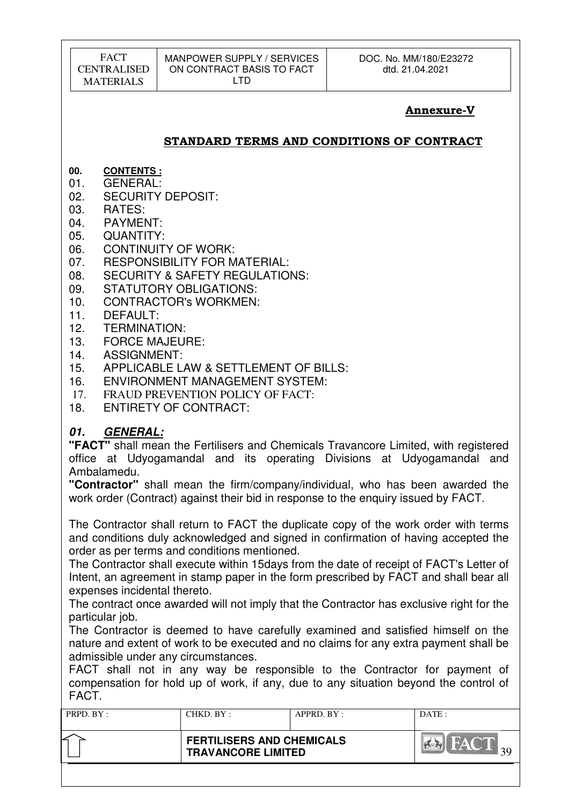FACT CENTRALISED MATERIALS

# Annexure-V

#### STANDARD TERMS AND CONDITIONS OF CONTRACT

#### **00. CONTENTS :**

- 01. GENERAL:
- 02. SECURITY DEPOSIT:
- 03. RATES:
- 04. PAYMENT:
- 05. QUANTITY:
- 06. CONTINUITY OF WORK:
- 07. RESPONSIBILITY FOR MATERIAL:
- 08. SECURITY & SAFETY REGULATIONS:
- 09. STATUTORY OBLIGATIONS:
- 10. CONTRACTOR's WORKMEN:
- 11. DEFAULT:
- 12. TERMINATION:
- 13. FORCE MAJEURE:
- 14. ASSIGNMENT:
- 15. APPLICABLE LAW & SETTLEMENT OF BILLS:
- 16. ENVIRONMENT MANAGEMENT SYSTEM:
- 17. FRAUD PREVENTION POLICY OF FACT:
- 18. ENTIRETY OF CONTRACT:

### **01. GENERAL:**

**"FACT"** shall mean the Fertilisers and Chemicals Travancore Limited, with registered office at Udyogamandal and its operating Divisions at Udyogamandal and Ambalamedu.

**"Contractor"** shall mean the firm/company/individual, who has been awarded the work order (Contract) against their bid in response to the enquiry issued by FACT.

The Contractor shall return to FACT the duplicate copy of the work order with terms and conditions duly acknowledged and signed in confirmation of having accepted the order as per terms and conditions mentioned.

The Contractor shall execute within 15days from the date of receipt of FACT's Letter of Intent, an agreement in stamp paper in the form prescribed by FACT and shall bear all expenses incidental thereto.

The contract once awarded will not imply that the Contractor has exclusive right for the particular job.

The Contractor is deemed to have carefully examined and satisfied himself on the nature and extent of work to be executed and no claims for any extra payment shall be admissible under any circumstances.

FACT shall not in any way be responsible to the Contractor for payment of compensation for hold up of work, if any, due to any situation beyond the control of FACT.

| PRPD. BY: | CHKD. BY:<br><b>FERTILISERS AND CHEMICALS</b> | APPRD. BY: | DATA<br><b>TAY A</b> |
|-----------|-----------------------------------------------|------------|----------------------|
|           | <b>TRAVANCORE LIMITED</b>                     |            |                      |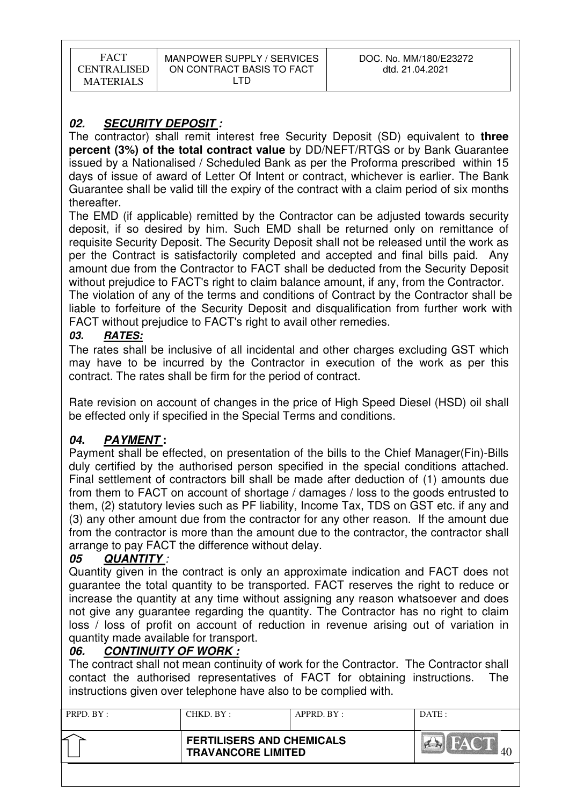# **02. SECURITY DEPOSIT :**

The contractor) shall remit interest free Security Deposit (SD) equivalent to **three percent (3%) of the total contract value** by DD/NEFT/RTGS or by Bank Guarantee issued by a Nationalised / Scheduled Bank as per the Proforma prescribed within 15 days of issue of award of Letter Of Intent or contract, whichever is earlier. The Bank Guarantee shall be valid till the expiry of the contract with a claim period of six months thereafter.

The EMD (if applicable) remitted by the Contractor can be adjusted towards security deposit, if so desired by him. Such EMD shall be returned only on remittance of requisite Security Deposit. The Security Deposit shall not be released until the work as per the Contract is satisfactorily completed and accepted and final bills paid. Any amount due from the Contractor to FACT shall be deducted from the Security Deposit without prejudice to FACT's right to claim balance amount, if any, from the Contractor. The violation of any of the terms and conditions of Contract by the Contractor shall be

liable to forfeiture of the Security Deposit and disqualification from further work with FACT without prejudice to FACT's right to avail other remedies.

### **03. RATES:**

The rates shall be inclusive of all incidental and other charges excluding GST which may have to be incurred by the Contractor in execution of the work as per this contract. The rates shall be firm for the period of contract.

Rate revision on account of changes in the price of High Speed Diesel (HSD) oil shall be effected only if specified in the Special Terms and conditions.

# **04. PAYMENT :**

Payment shall be effected, on presentation of the bills to the Chief Manager(Fin)-Bills duly certified by the authorised person specified in the special conditions attached. Final settlement of contractors bill shall be made after deduction of (1) amounts due from them to FACT on account of shortage / damages / loss to the goods entrusted to them, (2) statutory levies such as PF liability, Income Tax, TDS on GST etc. if any and (3) any other amount due from the contractor for any other reason. If the amount due from the contractor is more than the amount due to the contractor, the contractor shall arrange to pay FACT the difference without delay.

# **05 QUANTITY** :

Quantity given in the contract is only an approximate indication and FACT does not guarantee the total quantity to be transported. FACT reserves the right to reduce or increase the quantity at any time without assigning any reason whatsoever and does not give any guarantee regarding the quantity. The Contractor has no right to claim loss / loss of profit on account of reduction in revenue arising out of variation in quantity made available for transport.

### **06. CONTINUITY OF WORK :**

The contract shall not mean continuity of work for the Contractor. The Contractor shall contact the authorised representatives of FACT for obtaining instructions. The instructions given over telephone have also to be complied with.

| <b>FERTILISERS AND CHEMICALS</b><br><b>TRAVANCORE LIMITED</b> |  |
|---------------------------------------------------------------|--|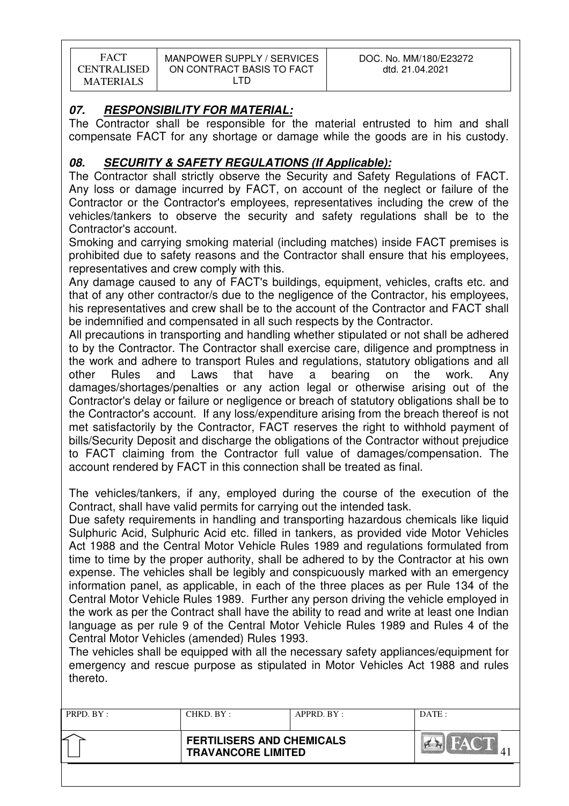| <b>FACT</b>        | MANPOWER SUPPLY / SERVICES |
|--------------------|----------------------------|
| <b>CENTRALISED</b> | ON CONTRACT BASIS TO FACT  |
| <b>MATERIALS</b>   | 1 L L D                    |

### **07. RESPONSIBILITY FOR MATERIAL:**

The Contractor shall be responsible for the material entrusted to him and shall compensate FACT for any shortage or damage while the goods are in his custody.

#### **08. SECURITY & SAFETY REGULATIONS (If Applicable):**

The Contractor shall strictly observe the Security and Safety Regulations of FACT. Any loss or damage incurred by FACT, on account of the neglect or failure of the Contractor or the Contractor's employees, representatives including the crew of the vehicles/tankers to observe the security and safety regulations shall be to the Contractor's account.

Smoking and carrying smoking material (including matches) inside FACT premises is prohibited due to safety reasons and the Contractor shall ensure that his employees, representatives and crew comply with this.

Any damage caused to any of FACT's buildings, equipment, vehicles, crafts etc. and that of any other contractor/s due to the negligence of the Contractor, his employees, his representatives and crew shall be to the account of the Contractor and FACT shall be indemnified and compensated in all such respects by the Contractor.

All precautions in transporting and handling whether stipulated or not shall be adhered to by the Contractor. The Contractor shall exercise care, diligence and promptness in the work and adhere to transport Rules and regulations, statutory obligations and all other Rules and Laws that have a bearing on the work. Any damages/shortages/penalties or any action legal or otherwise arising out of the Contractor's delay or failure or negligence or breach of statutory obligations shall be to the Contractor's account. If any loss/expenditure arising from the breach thereof is not met satisfactorily by the Contractor, FACT reserves the right to withhold payment of bills/Security Deposit and discharge the obligations of the Contractor without prejudice to FACT claiming from the Contractor full value of damages/compensation. The account rendered by FACT in this connection shall be treated as final.

The vehicles/tankers, if any, employed during the course of the execution of the Contract, shall have valid permits for carrying out the intended task.

Due safety requirements in handling and transporting hazardous chemicals like liquid Sulphuric Acid, Sulphuric Acid etc. filled in tankers, as provided vide Motor Vehicles Act 1988 and the Central Motor Vehicle Rules 1989 and regulations formulated from time to time by the proper authority, shall be adhered to by the Contractor at his own expense. The vehicles shall be legibly and conspicuously marked with an emergency information panel, as applicable, in each of the three places as per Rule 134 of the Central Motor Vehicle Rules 1989. Further any person driving the vehicle employed in the work as per the Contract shall have the ability to read and write at least one Indian language as per rule 9 of the Central Motor Vehicle Rules 1989 and Rules 4 of the Central Motor Vehicles (amended) Rules 1993.

The vehicles shall be equipped with all the necessary safety appliances/equipment for emergency and rescue purpose as stipulated in Motor Vehicles Act 1988 and rules thereto.

| PRPD. BY: | CHKD. BY:                                                     | APPRD. BY: | DATE: |
|-----------|---------------------------------------------------------------|------------|-------|
|           | <b>FERTILISERS AND CHEMICALS</b><br><b>TRAVANCORE LIMITED</b> |            |       |
|           |                                                               |            |       |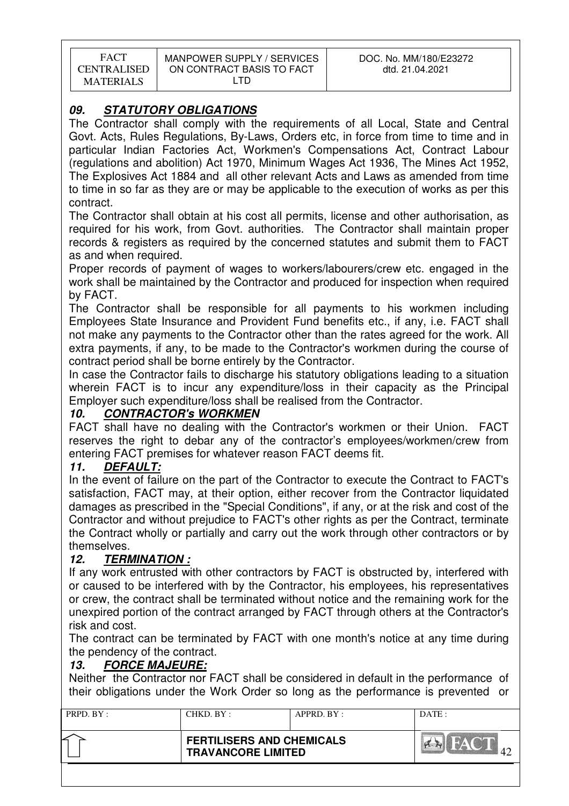FACT CENTRALISED MATERIALS

## **09. STATUTORY OBLIGATIONS**

The Contractor shall comply with the requirements of all Local, State and Central Govt. Acts, Rules Regulations, By-Laws, Orders etc, in force from time to time and in particular Indian Factories Act, Workmen's Compensations Act, Contract Labour (regulations and abolition) Act 1970, Minimum Wages Act 1936, The Mines Act 1952, The Explosives Act 1884 and all other relevant Acts and Laws as amended from time to time in so far as they are or may be applicable to the execution of works as per this contract.

The Contractor shall obtain at his cost all permits, license and other authorisation, as required for his work, from Govt. authorities. The Contractor shall maintain proper records & registers as required by the concerned statutes and submit them to FACT as and when required.

Proper records of payment of wages to workers/labourers/crew etc. engaged in the work shall be maintained by the Contractor and produced for inspection when required by FACT.

The Contractor shall be responsible for all payments to his workmen including Employees State Insurance and Provident Fund benefits etc., if any, i.e. FACT shall not make any payments to the Contractor other than the rates agreed for the work. All extra payments, if any, to be made to the Contractor's workmen during the course of contract period shall be borne entirely by the Contractor.

In case the Contractor fails to discharge his statutory obligations leading to a situation wherein FACT is to incur any expenditure/loss in their capacity as the Principal Employer such expenditure/loss shall be realised from the Contractor.

### **10. CONTRACTOR's WORKMEN**

FACT shall have no dealing with the Contractor's workmen or their Union. FACT reserves the right to debar any of the contractor's employees/workmen/crew from entering FACT premises for whatever reason FACT deems fit.

### **11. DEFAULT:**

In the event of failure on the part of the Contractor to execute the Contract to FACT's satisfaction, FACT may, at their option, either recover from the Contractor liquidated damages as prescribed in the "Special Conditions", if any, or at the risk and cost of the Contractor and without prejudice to FACT's other rights as per the Contract, terminate the Contract wholly or partially and carry out the work through other contractors or by themselves.

### **12. TERMINATION :**

If any work entrusted with other contractors by FACT is obstructed by, interfered with or caused to be interfered with by the Contractor, his employees, his representatives or crew, the contract shall be terminated without notice and the remaining work for the unexpired portion of the contract arranged by FACT through others at the Contractor's risk and cost.

The contract can be terminated by FACT with one month's notice at any time during the pendency of the contract.

### **13. FORCE MAJEURE:**

Neither the Contractor nor FACT shall be considered in default in the performance of their obligations under the Work Order so long as the performance is prevented or

| PRPD. BY: | CHKD. BY:                                                     | APPRD. BY: | DATE :      |
|-----------|---------------------------------------------------------------|------------|-------------|
|           | <b>FERTILISERS AND CHEMICALS</b><br><b>TRAVANCORE LIMITED</b> |            | $\Lambda^c$ |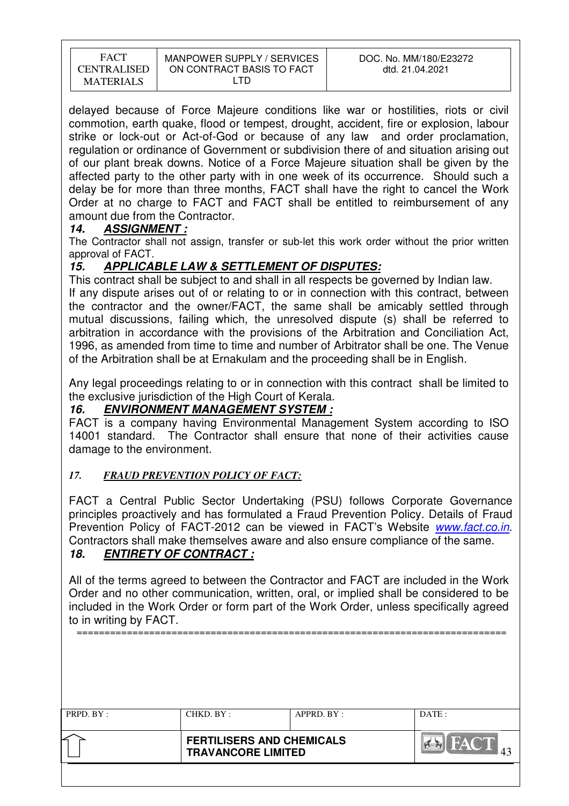| <b>FACT</b>        |
|--------------------|
| <b>CENTRALISED</b> |
| <b>MATERIALS</b>   |

delayed because of Force Majeure conditions like war or hostilities, riots or civil commotion, earth quake, flood or tempest, drought, accident, fire or explosion, labour strike or lock-out or Act-of-God or because of any law and order proclamation, regulation or ordinance of Government or subdivision there of and situation arising out of our plant break downs. Notice of a Force Majeure situation shall be given by the affected party to the other party with in one week of its occurrence. Should such a delay be for more than three months, FACT shall have the right to cancel the Work Order at no charge to FACT and FACT shall be entitled to reimbursement of any amount due from the Contractor.

#### **14. ASSIGNMENT :**

=============================================================================

The Contractor shall not assign, transfer or sub-let this work order without the prior written approval of FACT.

### **15. APPLICABLE LAW & SETTLEMENT OF DISPUTES:**

This contract shall be subject to and shall in all respects be governed by Indian law. If any dispute arises out of or relating to or in connection with this contract, between the contractor and the owner/FACT, the same shall be amicably settled through mutual discussions, failing which, the unresolved dispute (s) shall be referred to arbitration in accordance with the provisions of the Arbitration and Conciliation Act, 1996, as amended from time to time and number of Arbitrator shall be one. The Venue of the Arbitration shall be at Ernakulam and the proceeding shall be in English.

Any legal proceedings relating to or in connection with this contract shall be limited to the exclusive jurisdiction of the High Court of Kerala.

### **16. ENVIRONMENT MANAGEMENT SYSTEM :**

FACT is a company having Environmental Management System according to ISO 14001 standard. The Contractor shall ensure that none of their activities cause damage to the environment.

### *17. FRAUD PREVENTION POLICY OF FACT:*

FACT a Central Public Sector Undertaking (PSU) follows Corporate Governance principles proactively and has formulated a Fraud Prevention Policy. Details of Fraud Prevention Policy of FACT-2012 can be viewed in FACT's Website www.fact.co.in. Contractors shall make themselves aware and also ensure compliance of the same. **18. ENTIRETY OF CONTRACT :** 

All of the terms agreed to between the Contractor and FACT are included in the Work Order and no other communication, written, oral, or implied shall be considered to be included in the Work Order or form part of the Work Order, unless specifically agreed to in writing by FACT.

|           | <b>FERTILISERS AND CHEMICALS</b><br><b>TRAVANCORE LIMITED</b> |             | FACT<br>43 |
|-----------|---------------------------------------------------------------|-------------|------------|
| PRPD. BY: | CHKD. BY:                                                     | APPRD. BY : | DATE :     |
|           |                                                               |             |            |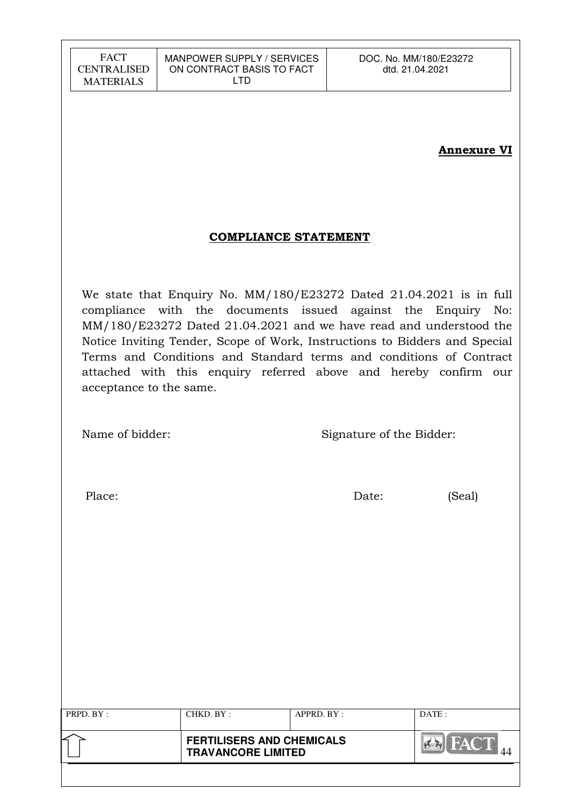#### Annexure VI

#### COMPLIANCE STATEMENT

We state that Enquiry No. MM/180/E23272 Dated 21.04.2021 is in full compliance with the documents issued against the Enquiry No: MM/180/E23272 Dated 21.04.2021 and we have read and understood the Notice Inviting Tender, Scope of Work, Instructions to Bidders and Special Terms and Conditions and Standard terms and conditions of Contract attached with this enquiry referred above and hereby confirm our acceptance to the same.

Name of bidder: Signature of the Bidder:

Place: Date: (Seal)

| PRPD. BY : | CHKD. BY:                                                     | APPRD. BY: | DATA |
|------------|---------------------------------------------------------------|------------|------|
|            | <b>FERTILISERS AND CHEMICALS</b><br><b>TRAVANCORE LIMITED</b> |            |      |
|            |                                                               |            |      |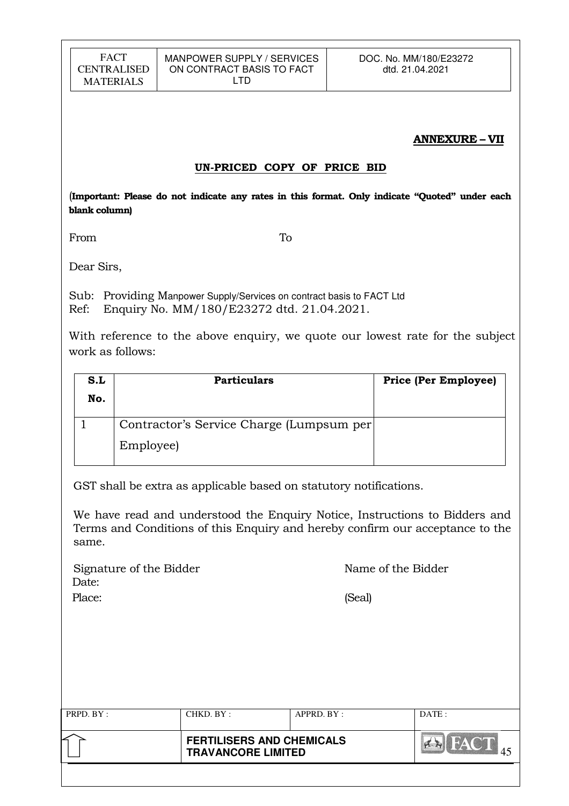FACT CENTRALISED MATERIALS

#### ANNEXURE – VII

#### UN-PRICED COPY OF PRICE BID

(Important: Please do not indicate any rates in this format. Only indicate "Quoted" under each blank column)

From To

Dear Sirs,

Sub: Providing Manpower Supply/Services on contract basis to FACT Ltd Ref: Enquiry No. MM/180/E23272 dtd. 21.04.2021.

With reference to the above enquiry, we quote our lowest rate for the subject work as follows:

| S.L | <b>Particulars</b>                       | <b>Price (Per Employee)</b> |
|-----|------------------------------------------|-----------------------------|
| No. |                                          |                             |
|     | Contractor's Service Charge (Lumpsum per |                             |
|     | Employee)                                |                             |

GST shall be extra as applicable based on statutory notifications.

We have read and understood the Enquiry Notice, Instructions to Bidders and Terms and Conditions of this Enquiry and hereby confirm our acceptance to the same.

Signature of the Bidder Name of the Bidder Date: Place: (Seal)

| PRPD. BY: | CHKD. BY :                                                    | APPRD. BY: | DATE: |
|-----------|---------------------------------------------------------------|------------|-------|
|           | <b>FERTILISERS AND CHEMICALS</b><br><b>TRAVANCORE LIMITED</b> |            |       |
|           |                                                               |            |       |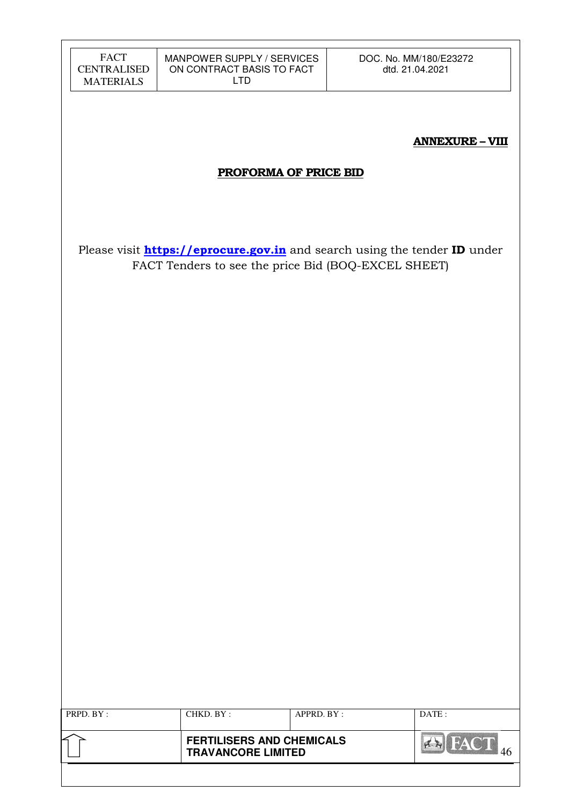ANNEXURE – VIII

#### PROFORMA OF PRICE BID

Please visit **https://eprocure.gov.in** and search using the tender ID under FACT Tenders to see the price Bid (BOQ-EXCEL SHEET)

| PRPD. BY: | CHKD. BY:                                                     | APPRD. BY: | DATE:                  |
|-----------|---------------------------------------------------------------|------------|------------------------|
|           | <b>FERTILISERS AND CHEMICALS</b><br><b>TRAVANCORE LIMITED</b> |            | <b>EVA</b><br>Ø.<br>46 |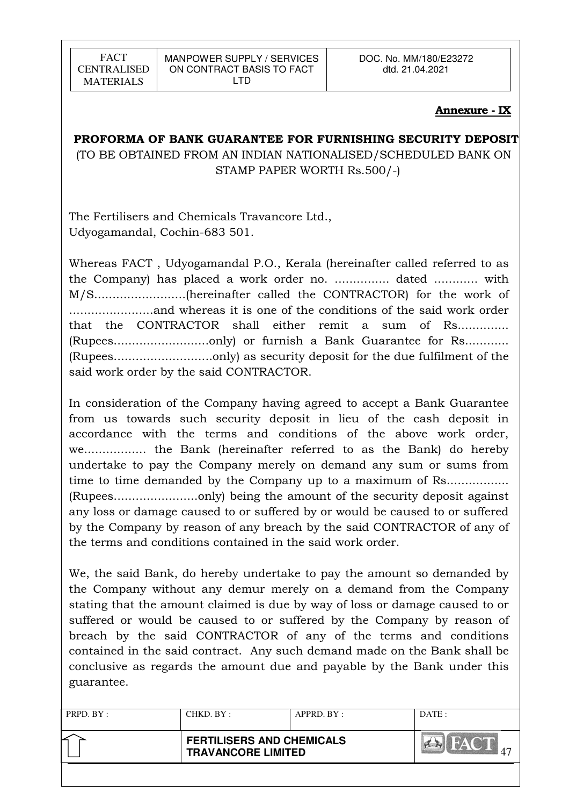#### Annexure - IX

# PROFORMA OF BANK GUARANTEE FOR FURNISHING SECURITY DEPOSIT

 (TO BE OBTAINED FROM AN INDIAN NATIONALISED/SCHEDULED BANK ON STAMP PAPER WORTH Rs.500/-)

The Fertilisers and Chemicals Travancore Ltd., Udyogamandal, Cochin-683 501.

Whereas FACT , Udyogamandal P.O., Kerala (hereinafter called referred to as the Company) has placed a work order no. ............... dated ............ with M/S.........................(hereinafter called the CONTRACTOR) for the work of .......................and whereas it is one of the conditions of the said work order that the CONTRACTOR shall either remit a sum of Rs.............. (Rupees..........................only) or furnish a Bank Guarantee for Rs............ (Rupees...........................only) as security deposit for the due fulfilment of the said work order by the said CONTRACTOR.

In consideration of the Company having agreed to accept a Bank Guarantee from us towards such security deposit in lieu of the cash deposit in accordance with the terms and conditions of the above work order, we................. the Bank (hereinafter referred to as the Bank) do hereby undertake to pay the Company merely on demand any sum or sums from time to time demanded by the Company up to a maximum of Rs....................... (Rupees.......................only) being the amount of the security deposit against any loss or damage caused to or suffered by or would be caused to or suffered by the Company by reason of any breach by the said CONTRACTOR of any of the terms and conditions contained in the said work order.

We, the said Bank, do hereby undertake to pay the amount so demanded by the Company without any demur merely on a demand from the Company stating that the amount claimed is due by way of loss or damage caused to or suffered or would be caused to or suffered by the Company by reason of breach by the said CONTRACTOR of any of the terms and conditions contained in the said contract. Any such demand made on the Bank shall be conclusive as regards the amount due and payable by the Bank under this guarantee.

| PRPD. BY: | CHKD. BY:                                                     | $APPRD$ . $BY$ : | DATE: |
|-----------|---------------------------------------------------------------|------------------|-------|
|           | <b>FERTILISERS AND CHEMICALS</b><br><b>TRAVANCORE LIMITED</b> |                  |       |
|           |                                                               |                  |       |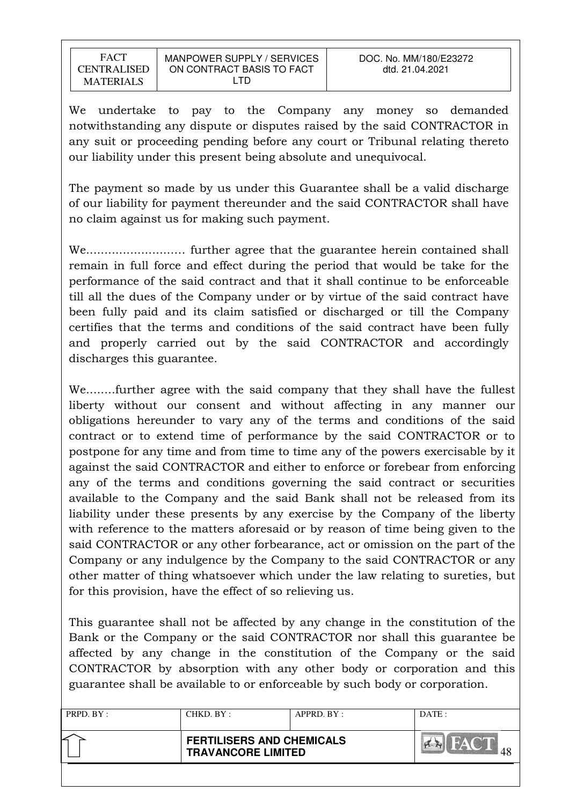We undertake to pay to the Company any money so demanded notwithstanding any dispute or disputes raised by the said CONTRACTOR in any suit or proceeding pending before any court or Tribunal relating thereto our liability under this present being absolute and unequivocal.

The payment so made by us under this Guarantee shall be a valid discharge of our liability for payment thereunder and the said CONTRACTOR shall have no claim against us for making such payment.

We........................… further agree that the guarantee herein contained shall remain in full force and effect during the period that would be take for the performance of the said contract and that it shall continue to be enforceable till all the dues of the Company under or by virtue of the said contract have been fully paid and its claim satisfied or discharged or till the Company certifies that the terms and conditions of the said contract have been fully and properly carried out by the said CONTRACTOR and accordingly discharges this guarantee.

We........further agree with the said company that they shall have the fullest liberty without our consent and without affecting in any manner our obligations hereunder to vary any of the terms and conditions of the said contract or to extend time of performance by the said CONTRACTOR or to postpone for any time and from time to time any of the powers exercisable by it against the said CONTRACTOR and either to enforce or forebear from enforcing any of the terms and conditions governing the said contract or securities available to the Company and the said Bank shall not be released from its liability under these presents by any exercise by the Company of the liberty with reference to the matters aforesaid or by reason of time being given to the said CONTRACTOR or any other forbearance, act or omission on the part of the Company or any indulgence by the Company to the said CONTRACTOR or any other matter of thing whatsoever which under the law relating to sureties, but for this provision, have the effect of so relieving us.

This guarantee shall not be affected by any change in the constitution of the Bank or the Company or the said CONTRACTOR nor shall this guarantee be affected by any change in the constitution of the Company or the said CONTRACTOR by absorption with any other body or corporation and this guarantee shall be available to or enforceable by such body or corporation.

| PRPD. BY: | CHKD. BY:                                                     | $APPRD$ . $BY$ : | DATE: |
|-----------|---------------------------------------------------------------|------------------|-------|
|           | <b>FERTILISERS AND CHEMICALS</b><br><b>TRAVANCORE LIMITED</b> |                  | 48    |
|           |                                                               |                  |       |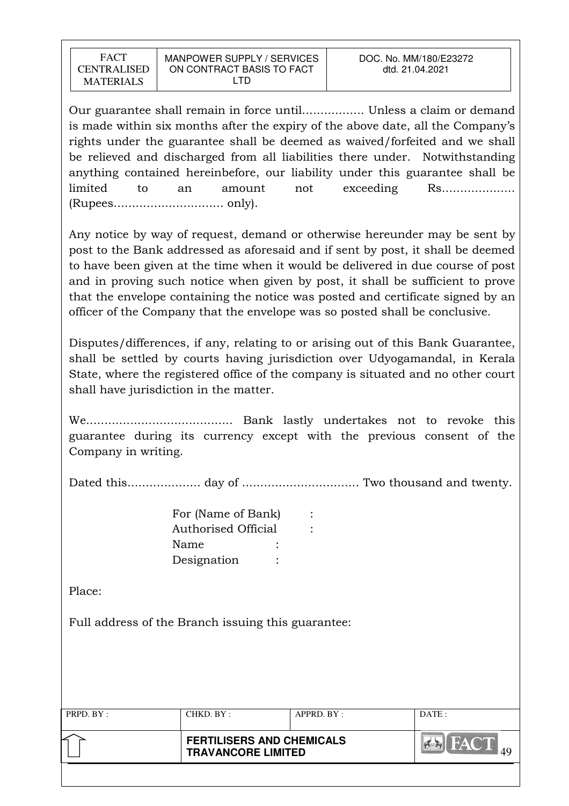FACT CENTRALISED **MATERIALS** 

Our guarantee shall remain in force until................. Unless a claim or demand is made within six months after the expiry of the above date, all the Company's rights under the guarantee shall be deemed as waived/forfeited and we shall be relieved and discharged from all liabilities there under. Notwithstanding anything contained hereinbefore, our liability under this guarantee shall be limited to an amount not exceeding Rs................... (Rupees.............................. only).

Any notice by way of request, demand or otherwise hereunder may be sent by post to the Bank addressed as aforesaid and if sent by post, it shall be deemed to have been given at the time when it would be delivered in due course of post and in proving such notice when given by post, it shall be sufficient to prove that the envelope containing the notice was posted and certificate signed by an officer of the Company that the envelope was so posted shall be conclusive.

Disputes/differences, if any, relating to or arising out of this Bank Guarantee, shall be settled by courts having jurisdiction over Udyogamandal, in Kerala State, where the registered office of the company is situated and no other court shall have jurisdiction in the matter.

We........................................ Bank lastly undertakes not to revoke this guarantee during its currency except with the previous consent of the Company in writing.

Dated this.................... day of ................................ Two thousand and twenty.

| For (Name of Bank)  |  |
|---------------------|--|
| Authorised Official |  |
| Name                |  |
| Designation         |  |

Place:

Full address of the Branch issuing this guarantee:

| PRPD. BY: | CHKD. BY :                                                    | APPRD. BY: | DATA: |
|-----------|---------------------------------------------------------------|------------|-------|
|           | <b>FERTILISERS AND CHEMICALS</b><br><b>TRAVANCORE LIMITED</b> |            |       |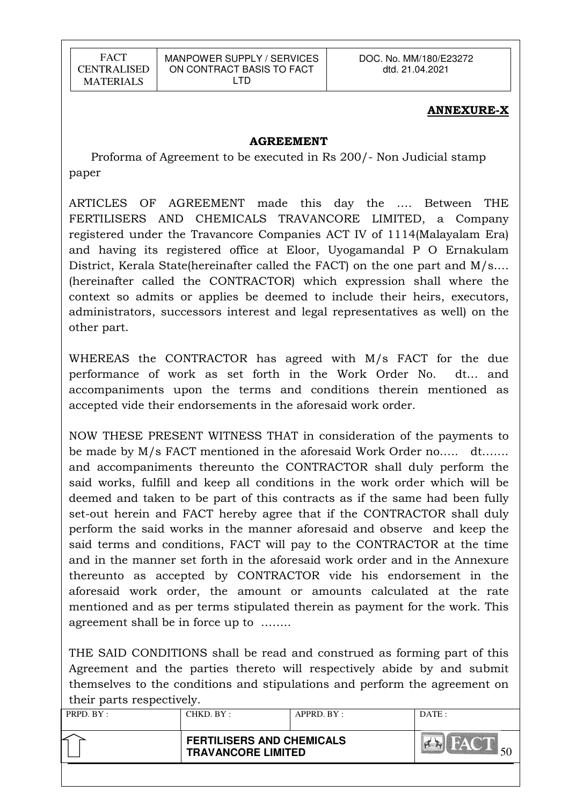## ANNEXURE-X

#### AGREEMENT

 Proforma of Agreement to be executed in Rs 200/- Non Judicial stamp paper

ARTICLES OF AGREEMENT made this day the …. Between THE FERTILISERS AND CHEMICALS TRAVANCORE LIMITED, a Company registered under the Travancore Companies ACT IV of 1114(Malayalam Era) and having its registered office at Eloor, Uyogamandal P O Ernakulam District, Kerala State(hereinafter called the FACT) on the one part and M/s…. (hereinafter called the CONTRACTOR) which expression shall where the context so admits or applies be deemed to include their heirs, executors, administrators, successors interest and legal representatives as well) on the other part.

WHEREAS the CONTRACTOR has agreed with M/s FACT for the due performance of work as set forth in the Work Order No. dt… and accompaniments upon the terms and conditions therein mentioned as accepted vide their endorsements in the aforesaid work order.

NOW THESE PRESENT WITNESS THAT in consideration of the payments to be made by M/s FACT mentioned in the aforesaid Work Order no….. dt……. and accompaniments thereunto the CONTRACTOR shall duly perform the said works, fulfill and keep all conditions in the work order which will be deemed and taken to be part of this contracts as if the same had been fully set-out herein and FACT hereby agree that if the CONTRACTOR shall duly perform the said works in the manner aforesaid and observe and keep the said terms and conditions, FACT will pay to the CONTRACTOR at the time and in the manner set forth in the aforesaid work order and in the Annexure thereunto as accepted by CONTRACTOR vide his endorsement in the aforesaid work order, the amount or amounts calculated at the rate mentioned and as per terms stipulated therein as payment for the work. This agreement shall be in force up to ……..

THE SAID CONDITIONS shall be read and construed as forming part of this Agreement and the parties thereto will respectively abide by and submit themselves to the conditions and stipulations and perform the agreement on their parts respectively.

| PRPD. BY: | CHKD. BY :                                                    | APPRD. BY: | DATE: |
|-----------|---------------------------------------------------------------|------------|-------|
|           | <b>FERTILISERS AND CHEMICALS</b><br><b>TRAVANCORE LIMITED</b> |            |       |
|           |                                                               |            |       |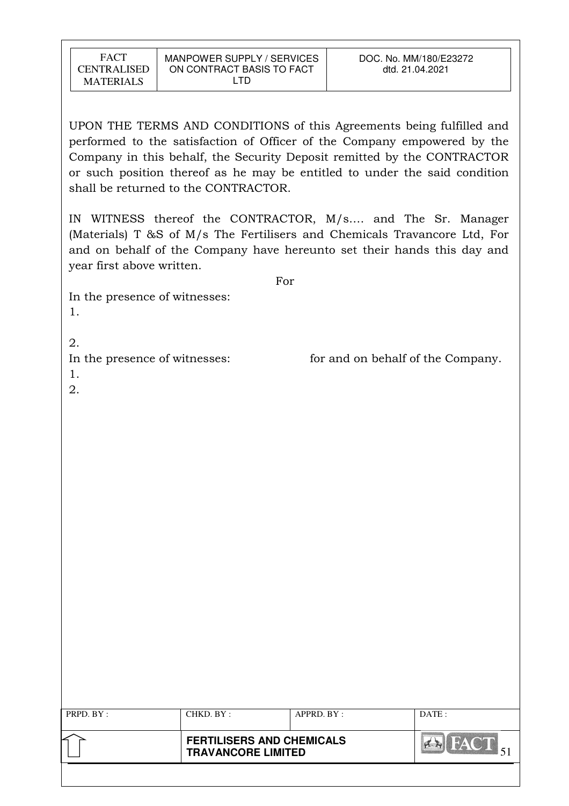UPON THE TERMS AND CONDITIONS of this Agreements being fulfilled and performed to the satisfaction of Officer of the Company empowered by the Company in this behalf, the Security Deposit remitted by the CONTRACTOR or such position thereof as he may be entitled to under the said condition shall be returned to the CONTRACTOR.

IN WITNESS thereof the CONTRACTOR, M/s…. and The Sr. Manager (Materials) T &S of M/s The Fertilisers and Chemicals Travancore Ltd, For and on behalf of the Company have hereunto set their hands this day and year first above written.

|                               | For. |
|-------------------------------|------|
| In the presence of witnesses: |      |
|                               |      |

| . . | ÷<br>٠ |  |
|-----|--------|--|
|     |        |  |
|     |        |  |
|     |        |  |

| ٠ | ٠<br>÷ |  |
|---|--------|--|
|   |        |  |

In the presence of witnesses: for and on behalf of the Company.

| ٠<br>× |
|--------|
|--------|

| PRPD. BY: | CHKD. BY :                | APPRD. BY:<br><b>FERTILISERS AND CHEMICALS</b> | DATE: |
|-----------|---------------------------|------------------------------------------------|-------|
|           | <b>TRAVANCORE LIMITED</b> |                                                |       |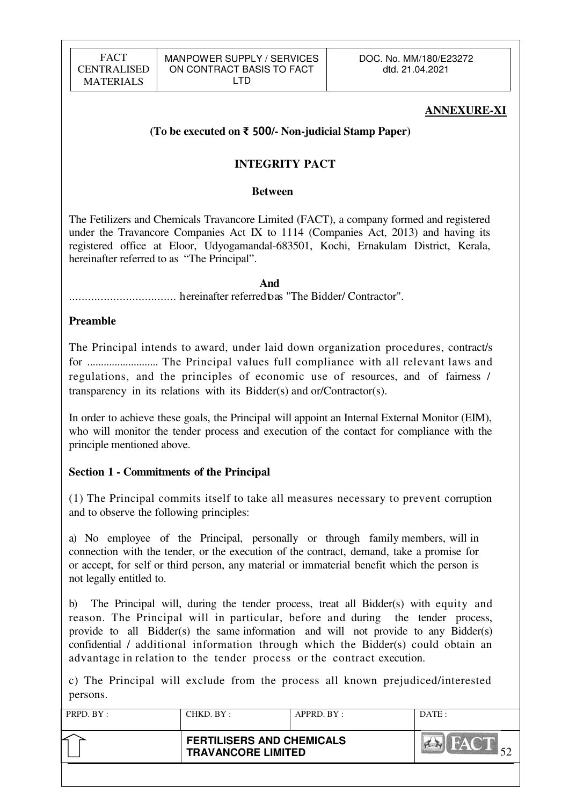#### **ANNEXURE-XI**

#### **(To be executed on** ₹ 500**/- Non-judicial Stamp Paper)**

#### **INTEGRITY PACT**

#### **Between**

The Fetilizers and Chemicals Travancore Limited (FACT), a company formed and registered under the Travancore Companies Act IX to 1114 (Companies Act, 2013) and having its registered office at Eloor, Udyogamandal-683501, Kochi, Ernakulam District, Kerala, hereinafter referred to as "The Principal".

*And* 

.................................. hereinafter referred to as "The Bidder/ Contractor".

#### **Preamble**

The Principal intends to award, under laid down organization procedures, contract/s for .......................... The Principal values full compliance with all relevant laws and regulations, and the principles of economic use of resources, and of fairness / transparency in its relations with its Bidder(s) and or/Contractor(s).

In order to achieve these goals, the Principal will appoint an Internal External Monitor (EIM), who will monitor the tender process and execution of the contact for compliance with the principle mentioned above.

#### **Section 1 - Commitments of the Principal**

(1) The Principal commits itself to take all measures necessary to prevent corruption and to observe the following principles:

a) No employee of the Principal, personally or through family members, will in connection with the tender, or the execution of the contract, demand, take a promise for or accept, for self or third person, any material or immaterial benefit which the person is not legally entitled to.

b) The Principal will, during the tender process, treat all Bidder(s) with equity and reason. The Principal will in particular, before and during the tender process, provide to all Bidder(s) the same information and will not provide to any Bidder(s) confidential / additional information through which the Bidder(s) could obtain an advantage in relation to the tender process or the contract execution.

c) The Principal will exclude from the process all known prejudiced/interested persons.

| PRPD. BY: | CHKD. BY:                                                     | APPRD. BY: | DATA |
|-----------|---------------------------------------------------------------|------------|------|
|           | <b>FERTILISERS AND CHEMICALS</b><br><b>TRAVANCORE LIMITED</b> |            |      |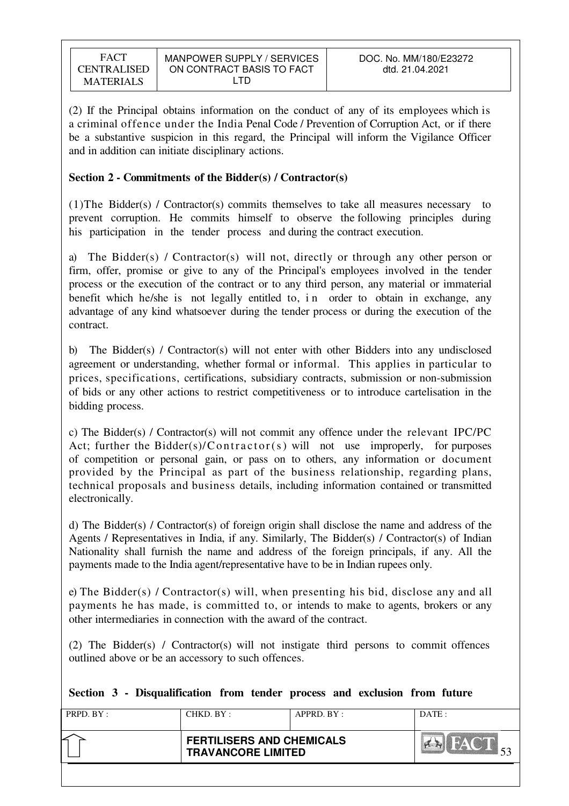(2) If the Principal obtains information on the conduct of any of its employees which is a criminal offence under the India Penal Code / Prevention of Corruption Act, or if there be a substantive suspicion in this regard, the Principal will inform the Vigilance Officer and in addition can initiate disciplinary actions.

#### **Section 2 - Commitments of the Bidder(s) / Contractor(s)**

(1)The Bidder(s) / Contractor(s) commits themselves to take all measures necessary to prevent corruption. He commits himself to observe the following principles during his participation in the tender process and during the contract execution.

a) The Bidder(s) / Contractor(s) will not, directly or through any other person or firm, offer, promise or give to any of the Principal's employees involved in the tender process or the execution of the contract or to any third person, any material or immaterial benefit which he/she is not legally entitled to, in order to obtain in exchange, any advantage of any kind whatsoever during the tender process or during the execution of the contract.

b) The Bidder(s) / Contractor(s) will not enter with other Bidders into any undisclosed agreement or understanding, whether formal or informal. This applies in particular to prices, specifications, certifications, subsidiary contracts, submission or non-submission of bids or any other actions to restrict competitiveness or to introduce cartelisation in the bidding process.

c) The Bidder(s) / Contractor(s) will not commit any offence under the relevant IPC/PC Act; further the Bidder(s)/ $Contractor(s)$  will not use improperly, for purposes of competition or personal gain, or pass on to others, any information or document provided by the Principal as part of the business relationship, regarding plans, technical proposals and business details, including information contained or transmitted electronically.

d) The Bidder(s) / Contractor(s) of foreign origin shall disclose the name and address of the Agents / Representatives in India, if any. Similarly, The Bidder(s) / Contractor(s) of Indian Nationality shall furnish the name and address of the foreign principals, if any. All the payments made to the India agent/representative have to be in Indian rupees only.

e) The Bidder(s) / Contractor(s) will, when presenting his bid, disclose any and all payments he has made, is committed to, or intends to make to agents, brokers or any other intermediaries in connection with the award of the contract.

(2) The Bidder(s) / Contractor(s) will not instigate third persons to commit offences outlined above or be an accessory to such offences.

#### **Section 3 - Disqualification from tender process and exclusion from future**

| PRPD. BY: | CHKD. BY:                                                     | APPRD. BY: | DATE: |
|-----------|---------------------------------------------------------------|------------|-------|
|           | <b>FERTILISERS AND CHEMICALS</b><br><b>TRAVANCORE LIMITED</b> |            |       |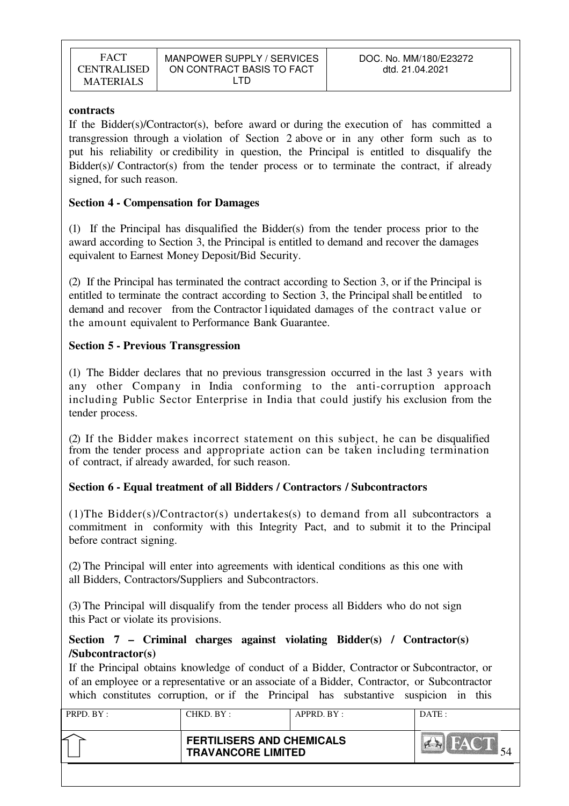#### **contracts**

If the Bidder(s)/Contractor(s), before award or during the execution of has committed a transgression through a violation of Section 2 above or in any other form such as to put his reliability or credibility in question, the Principal is entitled to disqualify the Bidder(s)/ Contractor(s) from the tender process or to terminate the contract, if already signed, for such reason.

#### **Section 4 - Compensation for Damages**

(1) If the Principal has disqualified the Bidder(s) from the tender process prior to the award according to Section 3, the Principal is entitled to demand and recover the damages equivalent to Earnest Money Deposit/Bid Security.

(2) If the Principal has terminated the contract according to Section 3, or if the Principal is entitled to terminate the contract according to Section 3, the Principal shall be entitled to demand and recover from the Contractor l iquidated damages of the contract value or the amount equivalent to Performance Bank Guarantee.

#### **Section 5 - Previous Transgression**

(1) The Bidder declares that no previous transgression occurred in the last 3 years with any other Company in India conforming to the anti-corruption approach including Public Sector Enterprise in India that could justify his exclusion from the tender process.

(2) If the Bidder makes incorrect statement on this subject, he can be disqualified from the tender process and appropriate action can be taken including termination of contract, if already awarded, for such reason.

#### **Section 6 - Equal treatment of all Bidders / Contractors / Subcontractors**

(1)The Bidder(s)/Contractor(s) undertakes(s) to demand from all subcontractors a commitment in conformity with this Integrity Pact, and to submit it to the Principal before contract signing.

(2) The Principal will enter into agreements with identical conditions as this one with all Bidders, Contractors/Suppliers and Subcontractors.

(3) The Principal will disqualify from the tender process all Bidders who do not sign this Pact or violate its provisions.

#### **Section 7 – Criminal charges against violating Bidder(s) / Contractor(s) /Subcontractor(s)**

If the Principal obtains knowledge of conduct of a Bidder, Contractor or Subcontractor, or of an employee or a representative or an associate of a Bidder, Contractor, or Subcontractor which constitutes corruption, or if the Principal has substantive suspicion in this

| PRPD. BY: | CHKD. BY :                                                    | APPRD. BY: | DATE: |
|-----------|---------------------------------------------------------------|------------|-------|
|           | <b>FERTILISERS AND CHEMICALS</b><br><b>TRAVANCORE LIMITED</b> |            |       |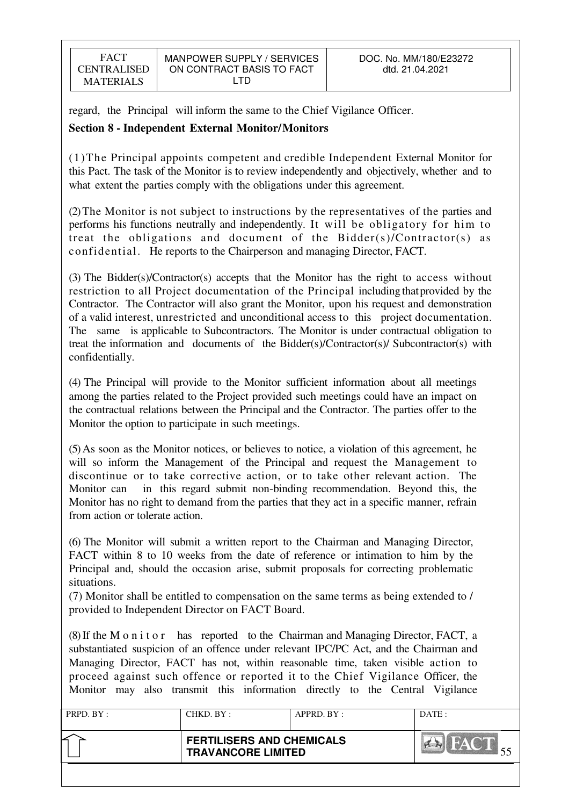regard, the Principal will inform the same to the Chief Vigilance Officer.

#### **Section 8 - Independent External Monitor/Monitors**

(1)The Principal appoints competent and credible Independent External Monitor for this Pact. The task of the Monitor is to review independently and objectively, whether and to what extent the parties comply with the obligations under this agreement.

(2) The Monitor is not subject to instructions by the representatives of the parties and performs his functions neutrally and independently. It will be obligatory for him to treat the obligations and document of the Bidder(s)/Contractor(s) as confidential. He reports to the Chairperson and managing Director, FACT.

(3) The Bidder(s)/Contractor(s) accepts that the Monitor has the right to access without restriction to all Project documentation of the Principal including that provided by the Contractor. The Contractor will also grant the Monitor, upon his request and demonstration of a valid interest, unrestricted and unconditional access to this project documentation. The same is applicable to Subcontractors. The Monitor is under contractual obligation to treat the information and documents of the Bidder(s)/Contractor(s)/ Subcontractor(s) with confidentially.

(4) The Principal will provide to the Monitor sufficient information about all meetings among the parties related to the Project provided such meetings could have an impact on the contractual relations between the Principal and the Contractor. The parties offer to the Monitor the option to participate in such meetings.

(5) As soon as the Monitor notices, or believes to notice, a violation of this agreement, he will so inform the Management of the Principal and request the Management to discontinue or to take corrective action, or to take other relevant action. The Monitor can in this regard submit non-binding recommendation. Beyond this, the Monitor has no right to demand from the parties that they act in a specific manner, refrain from action or tolerate action.

(6) The Monitor will submit a written report to the Chairman and Managing Director, FACT within 8 to 10 weeks from the date of reference or intimation to him by the Principal and, should the occasion arise, submit proposals for correcting problematic situations.

(7) Monitor shall be entitled to compensation on the same terms as being extended to / provided to Independent Director on FACT Board.

(8) If the M o n i t o r has reported to the Chairman and Managing Director, FACT, a substantiated suspicion of an offence under relevant IPC/PC Act, and the Chairman and Managing Director, FACT has not, within reasonable time, taken visible action to proceed against such offence or reported it to the Chief Vigilance Officer, the Monitor may also transmit this information directly to the Central Vigilance

| PRPD. BY: | CHKD. BY :                                                    | APPRD. BY: | DATA |
|-----------|---------------------------------------------------------------|------------|------|
| ∠         | <b>FERTILISERS AND CHEMICALS</b><br><b>TRAVANCORE LIMITED</b> |            |      |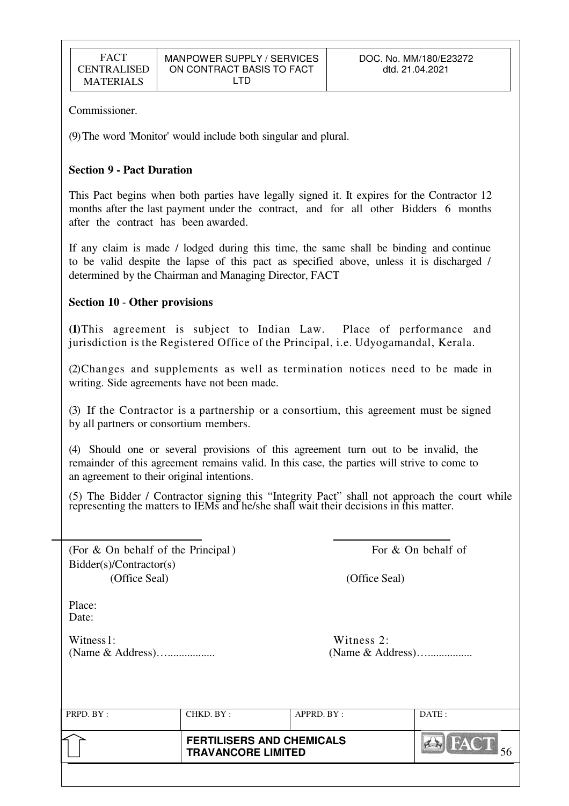Commissioner.

(9) The word 'Monitor' would include both singular and plural.

#### **Section 9 - Pact Duration**

This Pact begins when both parties have legally signed it. It expires for the Contractor 12 months after the last payment under the contract, and for all other Bidders 6 months after the contract has been awarded.

If any claim is made / lodged during this time, the same shall be binding and continue to be valid despite the lapse of this pact as specified above, unless it is discharged / determined by the Chairman and Managing Director, FACT

#### **Section 10** - **Other provisions**

**(1)**This agreement is subject to Indian Law. Place of performance and jurisdiction is the Registered Office of the Principal, i.e. Udyogamandal, Kerala.

(2)Changes and supplements as well as termination notices need to be made in writing. Side agreements have not been made.

(3) If the Contractor is a partnership or a consortium, this agreement must be signed by all partners or consortium members.

(4) Should one or several provisions of this agreement turn out to be invalid, the remainder of this agreement remains valid. In this case, the parties will strive to come to an agreement to their original intentions.

(5) The Bidder / Contractor signing this "Integrity Pact" shall not approach the court while representing the matters to IEMs and he/she shall wait their decisions in this matter.

| (For $\&$ On behalf of the Principal) |                                                               |               | For & On behalf of |
|---------------------------------------|---------------------------------------------------------------|---------------|--------------------|
| Bidder(s)/Contractor(s)               |                                                               |               |                    |
| (Office Seal)                         |                                                               | (Office Seal) |                    |
| Place:<br>Date:<br>Witness 1:         |                                                               | Witness 2:    |                    |
|                                       |                                                               |               |                    |
|                                       |                                                               |               |                    |
| PRPD. BY:                             | CHKD. BY:                                                     | APPRD. BY:    | DATE:              |
|                                       | <b>FERTILISERS AND CHEMICALS</b><br><b>TRAVANCORE LIMITED</b> |               | <b>FACT</b>        |
|                                       |                                                               |               |                    |